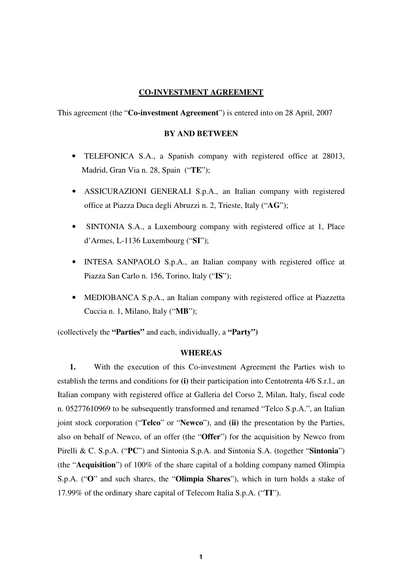# **CO-INVESTMENT AGREEMENT**

This agreement (the "**Co-investment Agreement**") is entered into on 28 April, 2007

# **BY AND BETWEEN**

- TELEFONICA S.A., a Spanish company with registered office at 28013, Madrid, Gran Via n. 28, Spain ("**TE**");
- ASSICURAZIONI GENERALI S.p.A., an Italian company with registered office at Piazza Duca degli Abruzzi n. 2, Trieste, Italy ("**AG**");
- SINTONIA S.A., a Luxembourg company with registered office at 1, Place d'Armes, L-1136 Luxembourg ("**SI**");
- INTESA SANPAOLO S.p.A., an Italian company with registered office at Piazza San Carlo n. 156, Torino, Italy ("**IS**");
- MEDIOBANCA S.p.A., an Italian company with registered office at Piazzetta Cuccia n. 1, Milano, Italy ("**MB**");

(collectively the **"Parties"** and each, individually, a **"Party")**

# **WHEREAS**

**1.** With the execution of this Co-investment Agreement the Parties wish to establish the terms and conditions for **(i)** their participation into Centotrenta 4/6 S.r.l., an Italian company with registered office at Galleria del Corso 2, Milan, Italy, fiscal code n. 05277610969 to be subsequently transformed and renamed "Telco S.p.A.", an Italian joint stock corporation ("**Telco**" or "**Newco**"), and **(ii)** the presentation by the Parties, also on behalf of Newco, of an offer (the "**Offer**") for the acquisition by Newco from Pirelli & C. S.p.A. ("**PC**") and Sintonia S.p.A. and Sintonia S.A. (together "**Sintonia**") (the "**Acquisition**") of 100% of the share capital of a holding company named Olimpia S.p.A. ("**O**" and such shares, the "**Olimpia Shares**"), which in turn holds a stake of 17.99% of the ordinary share capital of Telecom Italia S.p.A. ("**TI**").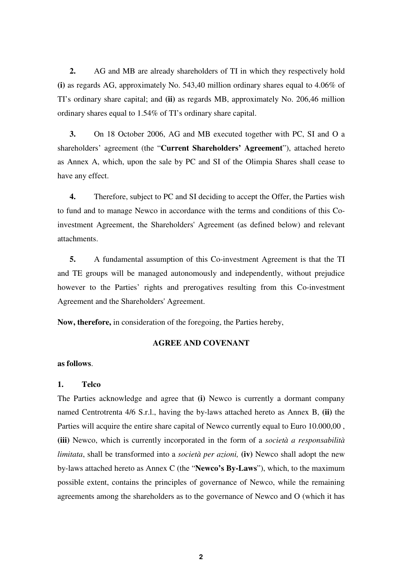**2.** AG and MB are already shareholders of TI in which they respectively hold **(i)** as regards AG, approximately No. 543,40 million ordinary shares equal to 4.06% of TI's ordinary share capital; and **(ii)** as regards MB, approximately No. 206,46 million ordinary shares equal to 1.54% of TI's ordinary share capital.

**3.** On 18 October 2006, AG and MB executed together with PC, SI and O a shareholders' agreement (the "**Current Shareholders' Agreement**"), attached hereto as Annex A, which, upon the sale by PC and SI of the Olimpia Shares shall cease to have any effect.

**4.** Therefore, subject to PC and SI deciding to accept the Offer, the Parties wish to fund and to manage Newco in accordance with the terms and conditions of this Coinvestment Agreement, the Shareholders' Agreement (as defined below) and relevant attachments.

**5.** A fundamental assumption of this Co-investment Agreement is that the TI and TE groups will be managed autonomously and independently, without prejudice however to the Parties' rights and prerogatives resulting from this Co-investment Agreement and the Shareholders' Agreement.

**Now, therefore,** in consideration of the foregoing, the Parties hereby,

# **AGREE AND COVENANT**

#### **as follows**.

#### **1. Telco**

The Parties acknowledge and agree that **(i)** Newco is currently a dormant company named Centrotrenta 4/6 S.r.l., having the by-laws attached hereto as Annex B, **(ii)** the Parties will acquire the entire share capital of Newco currently equal to Euro 10.000,00, **(iii)** Newco, which is currently incorporated in the form of a *società a responsabilità limitata*, shall be transformed into a *società per azioni,* **(iv)** Newco shall adopt the new by-laws attached hereto as Annex C (the "**Newco's By-Laws**"), which, to the maximum possible extent, contains the principles of governance of Newco, while the remaining agreements among the shareholders as to the governance of Newco and O (which it has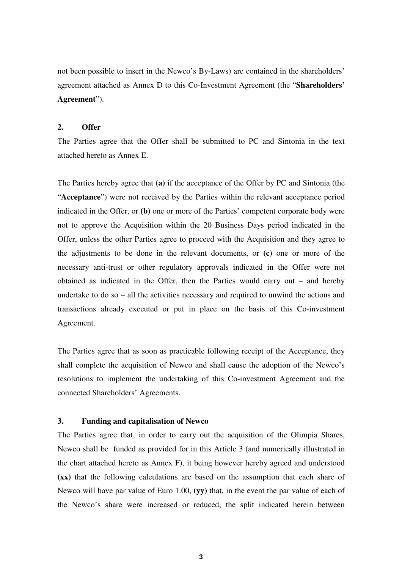not been possible to insert in the Newco's By-Laws) are contained in the shareholders' agreement attached as Annex D to this Co-Investment Agreement (the "**Shareholders' Agreement**").

#### **2. Offer**

The Parties agree that the Offer shall be submitted to PC and Sintonia in the text attached hereto as Annex E.

The Parties hereby agree that **(a)** if the acceptance of the Offer by PC and Sintonia (the "**Acceptance**") were not received by the Parties within the relevant acceptance period indicated in the Offer, or **(b)** one or more of the Parties' competent corporate body were not to approve the Acquisition within the 20 Business Days period indicated in the Offer, unless the other Parties agree to proceed with the Acquisition and they agree to the adjustments to be done in the relevant documents, or **(c)** one or more of the necessary anti-trust or other regulatory approvals indicated in the Offer were not obtained as indicated in the Offer, then the Parties would carry out – and hereby undertake to do so – all the activities necessary and required to unwind the actions and transactions already executed or put in place on the basis of this Co-investment Agreement.

The Parties agree that as soon as practicable following receipt of the Acceptance, they shall complete the acquisition of Newco and shall cause the adoption of the Newco's resolutions to implement the undertaking of this Co-investment Agreement and the connected Shareholders' Agreements.

# **3. Funding and capitalisation of Newco**

The Parties agree that, in order to carry out the acquisition of the Olimpia Shares, Newco shall be funded as provided for in this Article 3 (and numerically illustrated in the chart attached hereto as Annex F), it being however hereby agreed and understood **(xx)** that the following calculations are based on the assumption that each share of Newco will have par value of Euro 1.00, **(yy)** that, in the event the par value of each of the Newco's share were increased or reduced, the split indicated herein between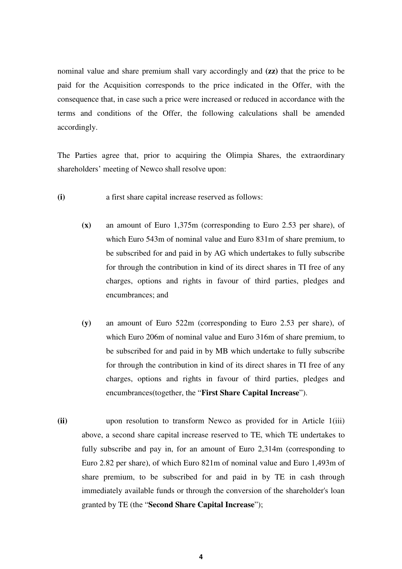nominal value and share premium shall vary accordingly and **(zz)** that the price to be paid for the Acquisition corresponds to the price indicated in the Offer, with the consequence that, in case such a price were increased or reduced in accordance with the terms and conditions of the Offer, the following calculations shall be amended accordingly.

The Parties agree that, prior to acquiring the Olimpia Shares, the extraordinary shareholders' meeting of Newco shall resolve upon:

- **(i)** a first share capital increase reserved as follows:
	- **(x)** an amount of Euro 1,375m (corresponding to Euro 2.53 per share), of which Euro 543m of nominal value and Euro 831m of share premium, to be subscribed for and paid in by AG which undertakes to fully subscribe for through the contribution in kind of its direct shares in TI free of any charges, options and rights in favour of third parties, pledges and encumbrances; and
	- **(y)** an amount of Euro 522m (corresponding to Euro 2.53 per share), of which Euro 206m of nominal value and Euro 316m of share premium, to be subscribed for and paid in by MB which undertake to fully subscribe for through the contribution in kind of its direct shares in TI free of any charges, options and rights in favour of third parties, pledges and encumbrances(together, the "**First Share Capital Increase**").
- **(ii)** upon resolution to transform Newco as provided for in Article 1(iii) above, a second share capital increase reserved to TE, which TE undertakes to fully subscribe and pay in, for an amount of Euro 2,314m (corresponding to Euro 2.82 per share), of which Euro 821m of nominal value and Euro 1,493m of share premium, to be subscribed for and paid in by TE in cash through immediately available funds or through the conversion of the shareholder's loan granted by TE (the "**Second Share Capital Increase**");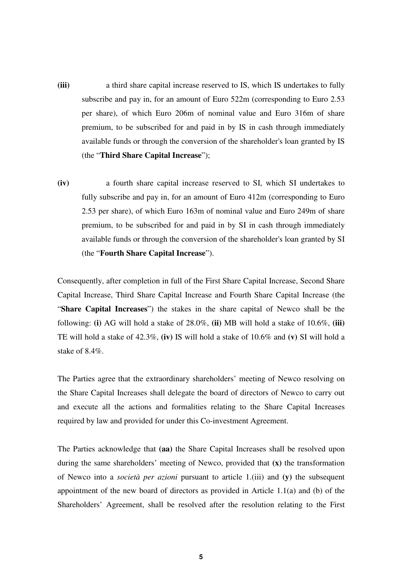- **(iii)** a third share capital increase reserved to IS, which IS undertakes to fully subscribe and pay in, for an amount of Euro 522m (corresponding to Euro 2.53 per share), of which Euro 206m of nominal value and Euro 316m of share premium, to be subscribed for and paid in by IS in cash through immediately available funds or through the conversion of the shareholder's loan granted by IS (the "**Third Share Capital Increase**");
- **(iv)** a fourth share capital increase reserved to SI, which SI undertakes to fully subscribe and pay in, for an amount of Euro 412m (corresponding to Euro 2.53 per share), of which Euro 163m of nominal value and Euro 249m of share premium, to be subscribed for and paid in by SI in cash through immediately available funds or through the conversion of the shareholder's loan granted by SI (the "**Fourth Share Capital Increase**").

Consequently, after completion in full of the First Share Capital Increase, Second Share Capital Increase, Third Share Capital Increase and Fourth Share Capital Increase (the "**Share Capital Increases**") the stakes in the share capital of Newco shall be the following: **(i)** AG will hold a stake of 28.0%, **(ii)** MB will hold a stake of 10.6%, **(iii)** TE will hold a stake of 42.3%, **(iv)** IS will hold a stake of 10.6% and **(v)** SI will hold a stake of 8.4%.

The Parties agree that the extraordinary shareholders' meeting of Newco resolving on the Share Capital Increases shall delegate the board of directors of Newco to carry out and execute all the actions and formalities relating to the Share Capital Increases required by law and provided for under this Co-investment Agreement.

The Parties acknowledge that **(aa)** the Share Capital Increases shall be resolved upon during the same shareholders' meeting of Newco, provided that **(x)** the transformation of Newco into a *società per azioni* pursuant to article 1.(iii) and **(y)** the subsequent appointment of the new board of directors as provided in Article 1.1(a) and (b) of the Shareholders' Agreement, shall be resolved after the resolution relating to the First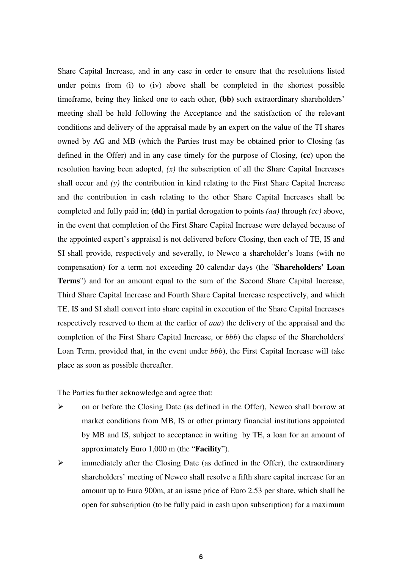Share Capital Increase, and in any case in order to ensure that the resolutions listed under points from (i) to (iv) above shall be completed in the shortest possible timeframe, being they linked one to each other, **(bb)** such extraordinary shareholders' meeting shall be held following the Acceptance and the satisfaction of the relevant conditions and delivery of the appraisal made by an expert on the value of the TI shares owned by AG and MB (which the Parties trust may be obtained prior to Closing (as defined in the Offer) and in any case timely for the purpose of Closing, **(cc)** upon the resolution having been adopted, *(x)* the subscription of all the Share Capital Increases shall occur and *(y)* the contribution in kind relating to the First Share Capital Increase and the contribution in cash relating to the other Share Capital Increases shall be completed and fully paid in; **(dd)** in partial derogation to points *(aa)* through *(cc)* above, in the event that completion of the First Share Capital Increase were delayed because of the appointed expert's appraisal is not delivered before Closing, then each of TE, IS and SI shall provide, respectively and severally, to Newco a shareholder's loans (with no compensation) for a term not exceeding 20 calendar days (the "**Shareholders' Loan Terms**") and for an amount equal to the sum of the Second Share Capital Increase, Third Share Capital Increase and Fourth Share Capital Increase respectively, and which TE, IS and SI shall convert into share capital in execution of the Share Capital Increases respectively reserved to them at the earlier of *aaa*) the delivery of the appraisal and the completion of the First Share Capital Increase, or *bbb*) the elapse of the Shareholders' Loan Term, provided that, in the event under *bbb*), the First Capital Increase will take place as soon as possible thereafter.

The Parties further acknowledge and agree that:

- on or before the Closing Date (as defined in the Offer), Newco shall borrow at market conditions from MB, IS or other primary financial institutions appointed by MB and IS, subject to acceptance in writing by TE, a loan for an amount of approximately Euro 1,000 m (the "**Facility**").
- $\triangleright$  immediately after the Closing Date (as defined in the Offer), the extraordinary shareholders' meeting of Newco shall resolve a fifth share capital increase for an amount up to Euro 900m, at an issue price of Euro 2.53 per share, which shall be open for subscription (to be fully paid in cash upon subscription) for a maximum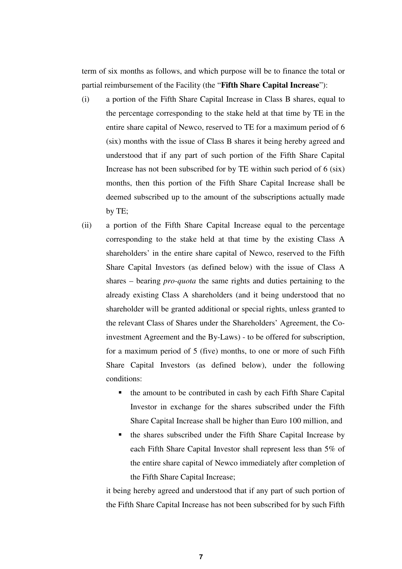term of six months as follows, and which purpose will be to finance the total or partial reimbursement of the Facility (the "**Fifth Share Capital Increase**"):

- (i) a portion of the Fifth Share Capital Increase in Class B shares, equal to the percentage corresponding to the stake held at that time by TE in the entire share capital of Newco, reserved to TE for a maximum period of 6 (six) months with the issue of Class B shares it being hereby agreed and understood that if any part of such portion of the Fifth Share Capital Increase has not been subscribed for by TE within such period of 6 (six) months, then this portion of the Fifth Share Capital Increase shall be deemed subscribed up to the amount of the subscriptions actually made by TE;
- (ii) a portion of the Fifth Share Capital Increase equal to the percentage corresponding to the stake held at that time by the existing Class A shareholders' in the entire share capital of Newco, reserved to the Fifth Share Capital Investors (as defined below) with the issue of Class A shares – bearing *pro-quota* the same rights and duties pertaining to the already existing Class A shareholders (and it being understood that no shareholder will be granted additional or special rights, unless granted to the relevant Class of Shares under the Shareholders' Agreement, the Coinvestment Agreement and the By-Laws) - to be offered for subscription, for a maximum period of 5 (five) months, to one or more of such Fifth Share Capital Investors (as defined below), under the following conditions:
	- the amount to be contributed in cash by each Fifth Share Capital Investor in exchange for the shares subscribed under the Fifth Share Capital Increase shall be higher than Euro 100 million, and
	- the shares subscribed under the Fifth Share Capital Increase by each Fifth Share Capital Investor shall represent less than 5% of the entire share capital of Newco immediately after completion of the Fifth Share Capital Increase;

it being hereby agreed and understood that if any part of such portion of the Fifth Share Capital Increase has not been subscribed for by such Fifth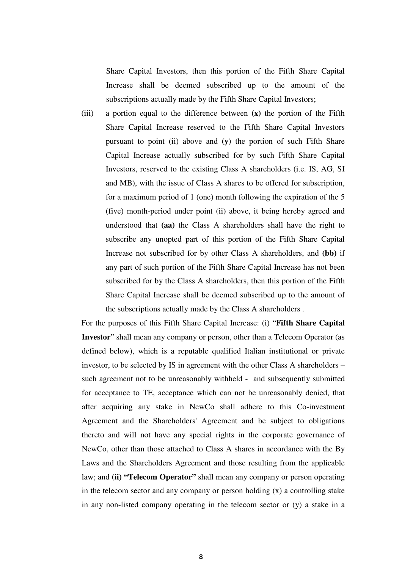Share Capital Investors, then this portion of the Fifth Share Capital Increase shall be deemed subscribed up to the amount of the subscriptions actually made by the Fifth Share Capital Investors;

(iii) a portion equal to the difference between **(x)** the portion of the Fifth Share Capital Increase reserved to the Fifth Share Capital Investors pursuant to point (ii) above and **(y)** the portion of such Fifth Share Capital Increase actually subscribed for by such Fifth Share Capital Investors, reserved to the existing Class A shareholders (i.e. IS, AG, SI and MB), with the issue of Class A shares to be offered for subscription, for a maximum period of 1 (one) month following the expiration of the 5 (five) month-period under point (ii) above, it being hereby agreed and understood that **(aa)** the Class A shareholders shall have the right to subscribe any unopted part of this portion of the Fifth Share Capital Increase not subscribed for by other Class A shareholders, and **(bb)** if any part of such portion of the Fifth Share Capital Increase has not been subscribed for by the Class A shareholders, then this portion of the Fifth Share Capital Increase shall be deemed subscribed up to the amount of the subscriptions actually made by the Class A shareholders .

For the purposes of this Fifth Share Capital Increase: (i) "**Fifth Share Capital Investor**" shall mean any company or person, other than a Telecom Operator (as defined below), which is a reputable qualified Italian institutional or private investor, to be selected by IS in agreement with the other Class A shareholders – such agreement not to be unreasonably withheld - and subsequently submitted for acceptance to TE, acceptance which can not be unreasonably denied, that after acquiring any stake in NewCo shall adhere to this Co-investment Agreement and the Shareholders' Agreement and be subject to obligations thereto and will not have any special rights in the corporate governance of NewCo, other than those attached to Class A shares in accordance with the By Laws and the Shareholders Agreement and those resulting from the applicable law; and **(ii) "Telecom Operator"** shall mean any company or person operating in the telecom sector and any company or person holding  $(x)$  a controlling stake in any non-listed company operating in the telecom sector or (y) a stake in a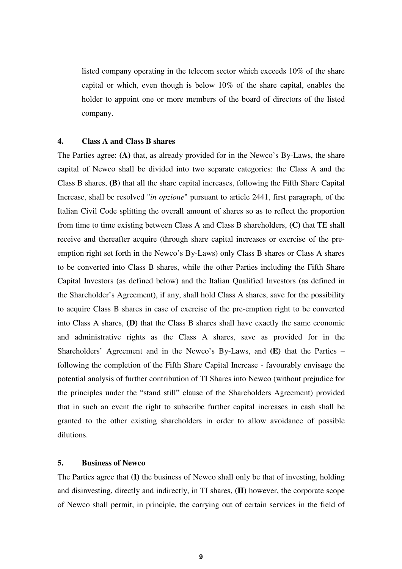listed company operating in the telecom sector which exceeds 10% of the share capital or which, even though is below 10% of the share capital, enables the holder to appoint one or more members of the board of directors of the listed company.

# **4. Class A and Class B shares**

The Parties agree: **(A)** that, as already provided for in the Newco's By-Laws, the share capital of Newco shall be divided into two separate categories: the Class A and the Class B shares, **(B)** that all the share capital increases, following the Fifth Share Capital Increase, shall be resolved "*in opzione*" pursuant to article 2441, first paragraph, of the Italian Civil Code splitting the overall amount of shares so as to reflect the proportion from time to time existing between Class A and Class B shareholders, **(C)** that TE shall receive and thereafter acquire (through share capital increases or exercise of the preemption right set forth in the Newco's By-Laws) only Class B shares or Class A shares to be converted into Class B shares, while the other Parties including the Fifth Share Capital Investors (as defined below) and the Italian Qualified Investors (as defined in the Shareholder's Agreement), if any, shall hold Class A shares, save for the possibility to acquire Class B shares in case of exercise of the pre-emption right to be converted into Class A shares, **(D)** that the Class B shares shall have exactly the same economic and administrative rights as the Class A shares, save as provided for in the Shareholders' Agreement and in the Newco's By-Laws, and **(E)** that the Parties – following the completion of the Fifth Share Capital Increase - favourably envisage the potential analysis of further contribution of TI Shares into Newco (without prejudice for the principles under the "stand still" clause of the Shareholders Agreement) provided that in such an event the right to subscribe further capital increases in cash shall be granted to the other existing shareholders in order to allow avoidance of possible dilutions.

# **5. Business of Newco**

The Parties agree that **(I)** the business of Newco shall only be that of investing, holding and disinvesting, directly and indirectly, in TI shares, **(II)** however, the corporate scope of Newco shall permit, in principle, the carrying out of certain services in the field of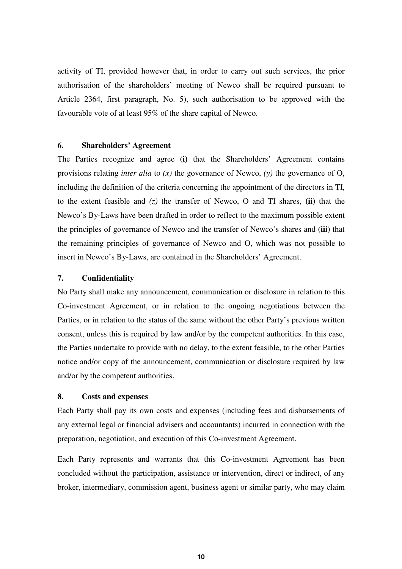activity of TI, provided however that, in order to carry out such services, the prior authorisation of the shareholders' meeting of Newco shall be required pursuant to Article 2364, first paragraph, No. 5), such authorisation to be approved with the favourable vote of at least 95% of the share capital of Newco.

# **6. Shareholders' Agreement**

The Parties recognize and agree **(i)** that the Shareholders' Agreement contains provisions relating *inter alia* to *(x)* the governance of Newco, *(y)* the governance of O, including the definition of the criteria concerning the appointment of the directors in TI, to the extent feasible and *(z)* the transfer of Newco, O and TI shares, **(ii)** that the Newco's By-Laws have been drafted in order to reflect to the maximum possible extent the principles of governance of Newco and the transfer of Newco's shares and **(iii)** that the remaining principles of governance of Newco and O, which was not possible to insert in Newco's By-Laws, are contained in the Shareholders' Agreement.

# **7. Confidentiality**

No Party shall make any announcement, communication or disclosure in relation to this Co-investment Agreement, or in relation to the ongoing negotiations between the Parties, or in relation to the status of the same without the other Party's previous written consent, unless this is required by law and/or by the competent authorities. In this case, the Parties undertake to provide with no delay, to the extent feasible, to the other Parties notice and/or copy of the announcement, communication or disclosure required by law and/or by the competent authorities.

#### **8. Costs and expenses**

Each Party shall pay its own costs and expenses (including fees and disbursements of any external legal or financial advisers and accountants) incurred in connection with the preparation, negotiation, and execution of this Co-investment Agreement.

Each Party represents and warrants that this Co-investment Agreement has been concluded without the participation, assistance or intervention, direct or indirect, of any broker, intermediary, commission agent, business agent or similar party, who may claim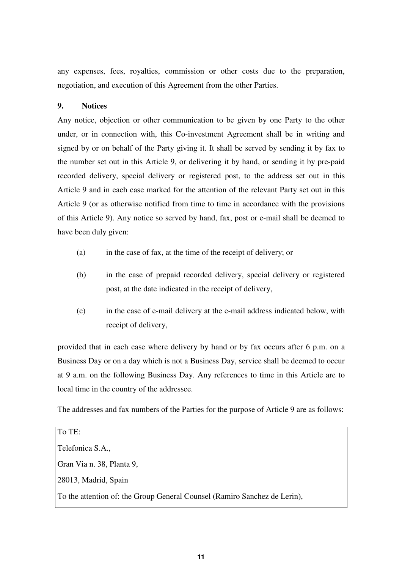any expenses, fees, royalties, commission or other costs due to the preparation, negotiation, and execution of this Agreement from the other Parties.

# **9. Notices**

Any notice, objection or other communication to be given by one Party to the other under, or in connection with, this Co-investment Agreement shall be in writing and signed by or on behalf of the Party giving it. It shall be served by sending it by fax to the number set out in this Article 9, or delivering it by hand, or sending it by pre-paid recorded delivery, special delivery or registered post, to the address set out in this Article 9 and in each case marked for the attention of the relevant Party set out in this Article 9 (or as otherwise notified from time to time in accordance with the provisions of this Article 9). Any notice so served by hand, fax, post or e-mail shall be deemed to have been duly given:

- (a) in the case of fax, at the time of the receipt of delivery; or
- (b) in the case of prepaid recorded delivery, special delivery or registered post, at the date indicated in the receipt of delivery,
- (c) in the case of e-mail delivery at the e-mail address indicated below, with receipt of delivery,

provided that in each case where delivery by hand or by fax occurs after 6 p.m. on a Business Day or on a day which is not a Business Day, service shall be deemed to occur at 9 a.m. on the following Business Day. Any references to time in this Article are to local time in the country of the addressee.

The addresses and fax numbers of the Parties for the purpose of Article 9 are as follows:

To TE: Telefonica S.A., Gran Via n. 38, Planta 9, 28013, Madrid, Spain To the attention of: the Group General Counsel (Ramiro Sanchez de Lerin),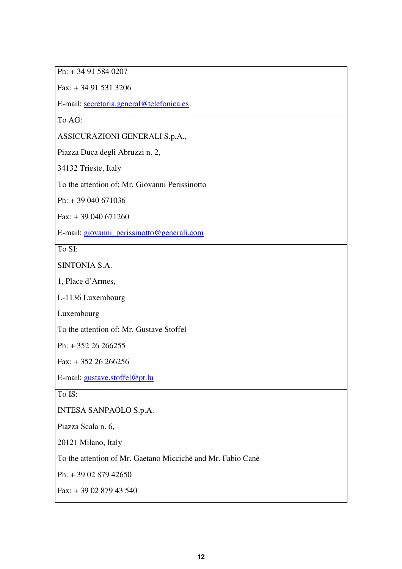Ph: + 34 91 584 0207

Fax: + 34 91 531 3206

E-mail: secretaria.general@telefonica.es

To AG:

ASSICURAZIONI GENERALI S.p.A.,

Piazza Duca degli Abruzzi n. 2,

34132 Trieste, Italy

To the attention of: Mr. Giovanni Perissinotto

Ph: + 39 040 671036

 $Fax: + 39040671260$ 

E-mail: giovanni\_perissinotto@generali.com

To SI:

SINTONIA S.A.

1, Place d'Armes,

L-1136 Luxembourg

Luxembourg

To the attention of: Mr. Gustave Stoffel

Ph: + 352 26 266255

 $Fax: + 35226266256$ 

E-mail: gustave.stoffel@pt.lu

To IS:

INTESA SANPAOLO S.p.A.

Piazza Scala n. 6,

20121 Milano, Italy

To the attention of Mr. Gaetano Miccichè and Mr. Fabio Canè

Ph: + 39 02 879 42650

Fax: + 39 02 879 43 540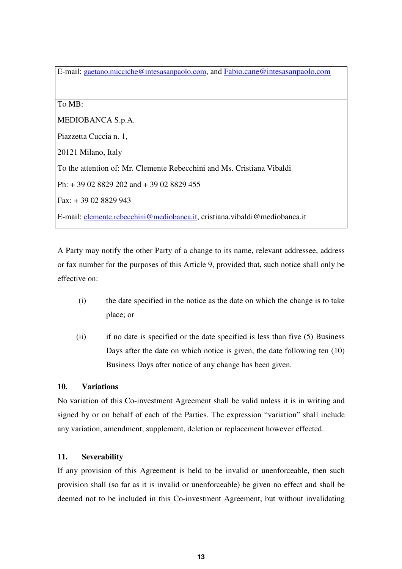E-mail: gaetano.micciche@intesasanpaolo.com, and Fabio.cane@intesasanpaolo.com

To MB:

MEDIOBANCA S.p.A.

Piazzetta Cuccia n. 1,

20121 Milano, Italy

To the attention of: Mr. Clemente Rebecchini and Ms. Cristiana Vibaldi

Ph: + 39 02 8829 202 and + 39 02 8829 455

Fax: + 39 02 8829 943

E-mail: clemente.rebecchini@mediobanca.it, cristiana.vibaldi@mediobanca.it

A Party may notify the other Party of a change to its name, relevant addressee, address or fax number for the purposes of this Article 9, provided that, such notice shall only be effective on:

- (i) the date specified in the notice as the date on which the change is to take place; or
- (ii) if no date is specified or the date specified is less than five (5) Business Days after the date on which notice is given, the date following ten (10) Business Days after notice of any change has been given.

# **10. Variations**

No variation of this Co-investment Agreement shall be valid unless it is in writing and signed by or on behalf of each of the Parties. The expression "variation" shall include any variation, amendment, supplement, deletion or replacement however effected.

# **11. Severability**

If any provision of this Agreement is held to be invalid or unenforceable, then such provision shall (so far as it is invalid or unenforceable) be given no effect and shall be deemed not to be included in this Co-investment Agreement, but without invalidating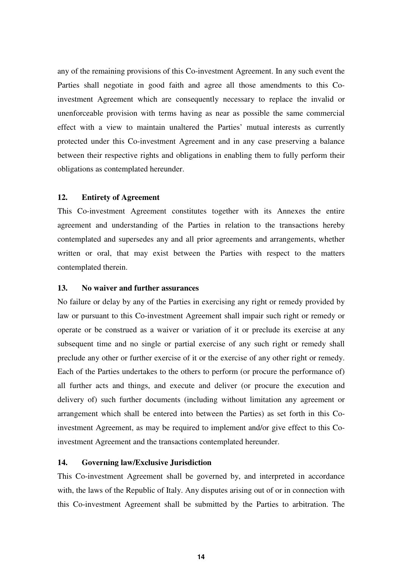any of the remaining provisions of this Co-investment Agreement. In any such event the Parties shall negotiate in good faith and agree all those amendments to this Coinvestment Agreement which are consequently necessary to replace the invalid or unenforceable provision with terms having as near as possible the same commercial effect with a view to maintain unaltered the Parties' mutual interests as currently protected under this Co-investment Agreement and in any case preserving a balance between their respective rights and obligations in enabling them to fully perform their obligations as contemplated hereunder.

# **12. Entirety of Agreement**

This Co-investment Agreement constitutes together with its Annexes the entire agreement and understanding of the Parties in relation to the transactions hereby contemplated and supersedes any and all prior agreements and arrangements, whether written or oral, that may exist between the Parties with respect to the matters contemplated therein.

# **13. No waiver and further assurances**

No failure or delay by any of the Parties in exercising any right or remedy provided by law or pursuant to this Co-investment Agreement shall impair such right or remedy or operate or be construed as a waiver or variation of it or preclude its exercise at any subsequent time and no single or partial exercise of any such right or remedy shall preclude any other or further exercise of it or the exercise of any other right or remedy. Each of the Parties undertakes to the others to perform (or procure the performance of) all further acts and things, and execute and deliver (or procure the execution and delivery of) such further documents (including without limitation any agreement or arrangement which shall be entered into between the Parties) as set forth in this Coinvestment Agreement, as may be required to implement and/or give effect to this Coinvestment Agreement and the transactions contemplated hereunder.

# **14. Governing law/Exclusive Jurisdiction**

This Co-investment Agreement shall be governed by, and interpreted in accordance with, the laws of the Republic of Italy. Any disputes arising out of or in connection with this Co-investment Agreement shall be submitted by the Parties to arbitration. The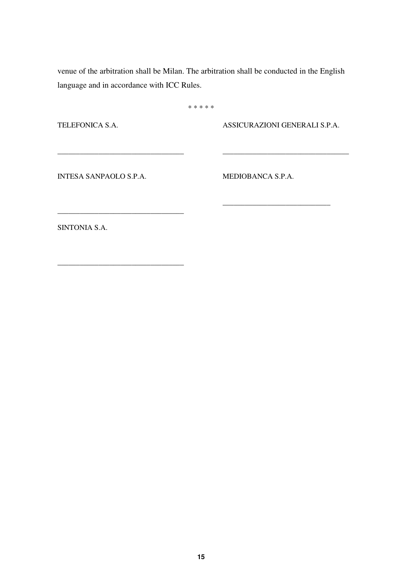venue of the arbitration shall be Milan. The arbitration shall be conducted in the English language and in accordance with ICC Rules.

\* \* \* \* \*

TELEFONICA S.A.

ASSICURAZIONI GENERALI S.P.A.

\_\_\_\_\_\_\_\_\_\_\_\_\_\_\_\_\_\_\_\_\_\_\_\_\_\_\_\_\_\_\_\_\_\_

\_\_\_\_\_\_\_\_\_\_\_\_\_\_\_\_\_\_\_\_\_\_\_\_\_\_\_\_\_

INTESA SANPAOLO S.P.A.

\_\_\_\_\_\_\_\_\_\_\_\_\_\_\_\_\_\_\_\_\_\_\_\_\_\_\_\_\_\_\_\_\_\_

\_\_\_\_\_\_\_\_\_\_\_\_\_\_\_\_\_\_\_\_\_\_\_\_\_\_\_\_\_\_\_\_\_\_

\_\_\_\_\_\_\_\_\_\_\_\_\_\_\_\_\_\_\_\_\_\_\_\_\_\_\_\_\_\_\_\_\_\_

MEDIOBANCA S.P.A.

SINTONIA S.A.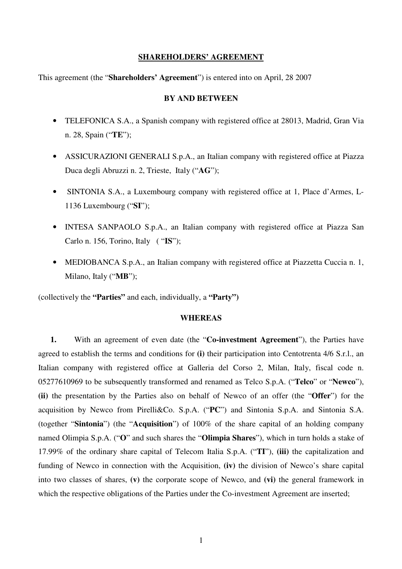# **SHAREHOLDERS' AGREEMENT**

This agreement (the "**Shareholders' Agreement**") is entered into on April, 28 2007

# **BY AND BETWEEN**

- TELEFONICA S.A., a Spanish company with registered office at 28013, Madrid, Gran Via n. 28, Spain ("**TE**");
- ASSICURAZIONI GENERALI S.p.A., an Italian company with registered office at Piazza Duca degli Abruzzi n. 2, Trieste, Italy ("**AG**");
- SINTONIA S.A., a Luxembourg company with registered office at 1, Place d'Armes, L-1136 Luxembourg ("**SI**");
- INTESA SANPAOLO S.p.A., an Italian company with registered office at Piazza San Carlo n. 156, Torino, Italy ( "**IS**");
- MEDIOBANCA S.p.A., an Italian company with registered office at Piazzetta Cuccia n. 1, Milano, Italy ("**MB**");

(collectively the **"Parties"** and each, individually, a **"Party")**

# **WHEREAS**

**1.** With an agreement of even date (the "**Co-investment Agreement**"), the Parties have agreed to establish the terms and conditions for **(i)** their participation into Centotrenta 4/6 S.r.l., an Italian company with registered office at Galleria del Corso 2, Milan, Italy, fiscal code n. 05277610969 to be subsequently transformed and renamed as Telco S.p.A. ("**Telco**" or "**Newco**"), **(ii)** the presentation by the Parties also on behalf of Newco of an offer (the "**Offer**") for the acquisition by Newco from Pirelli&Co. S.p.A. ("**PC**") and Sintonia S.p.A. and Sintonia S.A. (together "**Sintonia**") (the "**Acquisition**") of 100% of the share capital of an holding company named Olimpia S.p.A. ("**O**" and such shares the "**Olimpia Shares**"), which in turn holds a stake of 17.99% of the ordinary share capital of Telecom Italia S.p.A. ("**TI**"), **(iii)** the capitalization and funding of Newco in connection with the Acquisition, **(iv)** the division of Newco's share capital into two classes of shares, **(v)** the corporate scope of Newco, and **(vi)** the general framework in which the respective obligations of the Parties under the Co-investment Agreement are inserted;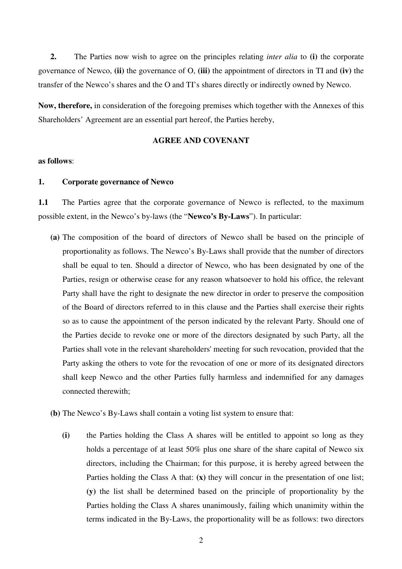**2.** The Parties now wish to agree on the principles relating *inter alia* to **(i)** the corporate governance of Newco, **(ii)** the governance of O, **(iii)** the appointment of directors in TI and **(iv)** the transfer of the Newco's shares and the O and TI's shares directly or indirectly owned by Newco.

**Now, therefore,** in consideration of the foregoing premises which together with the Annexes of this Shareholders' Agreement are an essential part hereof, the Parties hereby,

# **AGREE AND COVENANT**

# **as follows**:

# **1. Corporate governance of Newco**

**1.1** The Parties agree that the corporate governance of Newco is reflected, to the maximum possible extent, in the Newco's by-laws (the "**Newco's By-Laws**"). In particular:

- **(a)** The composition of the board of directors of Newco shall be based on the principle of proportionality as follows. The Newco's By-Laws shall provide that the number of directors shall be equal to ten. Should a director of Newco, who has been designated by one of the Parties, resign or otherwise cease for any reason whatsoever to hold his office, the relevant Party shall have the right to designate the new director in order to preserve the composition of the Board of directors referred to in this clause and the Parties shall exercise their rights so as to cause the appointment of the person indicated by the relevant Party. Should one of the Parties decide to revoke one or more of the directors designated by such Party, all the Parties shall vote in the relevant shareholders' meeting for such revocation, provided that the Party asking the others to vote for the revocation of one or more of its designated directors shall keep Newco and the other Parties fully harmless and indemnified for any damages connected therewith;
- **(b)** The Newco's By-Laws shall contain a voting list system to ensure that:
	- **(i)** the Parties holding the Class A shares will be entitled to appoint so long as they holds a percentage of at least 50% plus one share of the share capital of Newco six directors, including the Chairman; for this purpose, it is hereby agreed between the Parties holding the Class A that: **(x)** they will concur in the presentation of one list; **(y)** the list shall be determined based on the principle of proportionality by the Parties holding the Class A shares unanimously, failing which unanimity within the terms indicated in the By-Laws, the proportionality will be as follows: two directors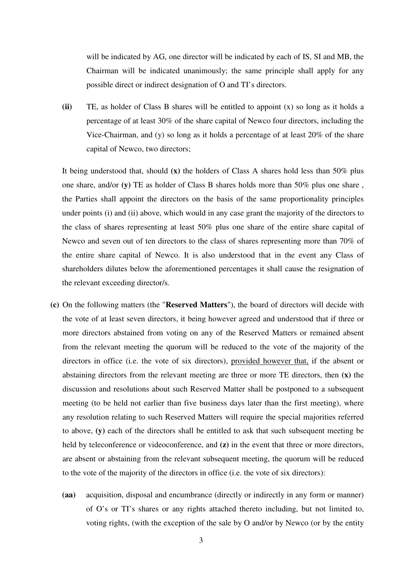will be indicated by AG, one director will be indicated by each of IS, SI and MB, the Chairman will be indicated unanimously; the same principle shall apply for any possible direct or indirect designation of O and TI's directors.

**(ii)** TE, as holder of Class B shares will be entitled to appoint (x) so long as it holds a percentage of at least 30% of the share capital of Newco four directors, including the Vice-Chairman, and (y) so long as it holds a percentage of at least 20% of the share capital of Newco, two directors;

It being understood that, should **(x)** the holders of Class A shares hold less than 50% plus one share, and/or **(y)** TE as holder of Class B shares holds more than 50% plus one share , the Parties shall appoint the directors on the basis of the same proportionality principles under points (i) and (ii) above, which would in any case grant the majority of the directors to the class of shares representing at least 50% plus one share of the entire share capital of Newco and seven out of ten directors to the class of shares representing more than 70% of the entire share capital of Newco. It is also understood that in the event any Class of shareholders dilutes below the aforementioned percentages it shall cause the resignation of the relevant exceeding director/s.

- **(c)** On the following matters (the "**Reserved Matters**"), the board of directors will decide with the vote of at least seven directors, it being however agreed and understood that if three or more directors abstained from voting on any of the Reserved Matters or remained absent from the relevant meeting the quorum will be reduced to the vote of the majority of the directors in office (i.e. the vote of six directors), provided however that, if the absent or abstaining directors from the relevant meeting are three or more TE directors, then **(x)** the discussion and resolutions about such Reserved Matter shall be postponed to a subsequent meeting (to be held not earlier than five business days later than the first meeting), where any resolution relating to such Reserved Matters will require the special majorities referred to above, **(y)** each of the directors shall be entitled to ask that such subsequent meeting be held by teleconference or videoconference, and **(z)** in the event that three or more directors, are absent or abstaining from the relevant subsequent meeting, the quorum will be reduced to the vote of the majority of the directors in office (i.e. the vote of six directors):
	- **(aa)** acquisition, disposal and encumbrance (directly or indirectly in any form or manner) of O's or TI's shares or any rights attached thereto including, but not limited to, voting rights, (with the exception of the sale by O and/or by Newco (or by the entity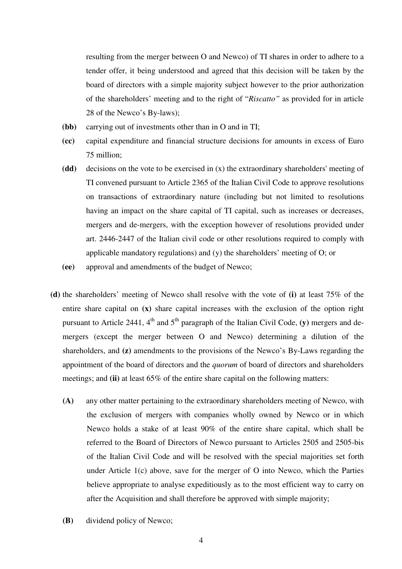resulting from the merger between O and Newco) of TI shares in order to adhere to a tender offer, it being understood and agreed that this decision will be taken by the board of directors with a simple majority subject however to the prior authorization of the shareholders' meeting and to the right of "*Riscatto"* as provided for in article 28 of the Newco's By-laws);

- **(bb)** carrying out of investments other than in O and in TI;
- **(cc)** capital expenditure and financial structure decisions for amounts in excess of Euro 75 million;
- **(dd)** decisions on the vote to be exercised in (x) the extraordinary shareholders' meeting of TI convened pursuant to Article 2365 of the Italian Civil Code to approve resolutions on transactions of extraordinary nature (including but not limited to resolutions having an impact on the share capital of TI capital, such as increases or decreases, mergers and de-mergers, with the exception however of resolutions provided under art. 2446-2447 of the Italian civil code or other resolutions required to comply with applicable mandatory regulations) and (y) the shareholders' meeting of O; or
- **(ee)** approval and amendments of the budget of Newco;
- **(d)** the shareholders' meeting of Newco shall resolve with the vote of **(i)** at least 75% of the entire share capital on **(x)** share capital increases with the exclusion of the option right pursuant to Article 2441,  $4<sup>th</sup>$  and  $5<sup>th</sup>$  paragraph of the Italian Civil Code, **(y)** mergers and demergers (except the merger between O and Newco) determining a dilution of the shareholders, and **(z)** amendments to the provisions of the Newco's By-Laws regarding the appointment of the board of directors and the *quorum* of board of directors and shareholders meetings; and **(ii)** at least 65% of the entire share capital on the following matters:
	- **(A)** any other matter pertaining to the extraordinary shareholders meeting of Newco, with the exclusion of mergers with companies wholly owned by Newco or in which Newco holds a stake of at least 90% of the entire share capital, which shall be referred to the Board of Directors of Newco pursuant to Articles 2505 and 2505-bis of the Italian Civil Code and will be resolved with the special majorities set forth under Article 1(c) above, save for the merger of O into Newco, which the Parties believe appropriate to analyse expeditiously as to the most efficient way to carry on after the Acquisition and shall therefore be approved with simple majority;
	- **(B)** dividend policy of Newco;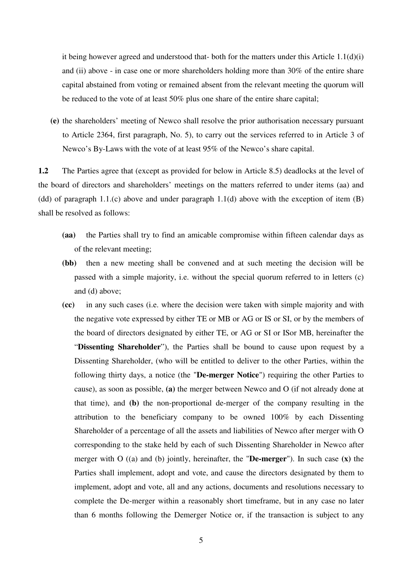it being however agreed and understood that- both for the matters under this Article  $1.1(d)(i)$ and (ii) above - in case one or more shareholders holding more than 30% of the entire share capital abstained from voting or remained absent from the relevant meeting the quorum will be reduced to the vote of at least 50% plus one share of the entire share capital;

**(e)** the shareholders' meeting of Newco shall resolve the prior authorisation necessary pursuant to Article 2364, first paragraph, No. 5), to carry out the services referred to in Article 3 of Newco's By-Laws with the vote of at least 95% of the Newco's share capital.

**1.2** The Parties agree that (except as provided for below in Article 8.5) deadlocks at the level of the board of directors and shareholders' meetings on the matters referred to under items (aa) and (dd) of paragraph 1.1.(c) above and under paragraph 1.1(d) above with the exception of item (B) shall be resolved as follows:

- **(aa)** the Parties shall try to find an amicable compromise within fifteen calendar days as of the relevant meeting;
- **(bb)** then a new meeting shall be convened and at such meeting the decision will be passed with a simple majority, i.e. without the special quorum referred to in letters (c) and (d) above;
- **(cc)** in any such cases (i.e. where the decision were taken with simple majority and with the negative vote expressed by either TE or MB or AG or IS or SI, or by the members of the board of directors designated by either TE, or AG or SI or ISor MB, hereinafter the "**Dissenting Shareholder**"), the Parties shall be bound to cause upon request by a Dissenting Shareholder, (who will be entitled to deliver to the other Parties, within the following thirty days, a notice (the "**De-merger Notice**") requiring the other Parties to cause), as soon as possible, **(a)** the merger between Newco and O (if not already done at that time), and **(b)** the non-proportional de-merger of the company resulting in the attribution to the beneficiary company to be owned 100% by each Dissenting Shareholder of a percentage of all the assets and liabilities of Newco after merger with O corresponding to the stake held by each of such Dissenting Shareholder in Newco after merger with O ((a) and (b) jointly, hereinafter, the "**De-merger**"). In such case **(x)** the Parties shall implement, adopt and vote, and cause the directors designated by them to implement, adopt and vote, all and any actions, documents and resolutions necessary to complete the De-merger within a reasonably short timeframe, but in any case no later than 6 months following the Demerger Notice or, if the transaction is subject to any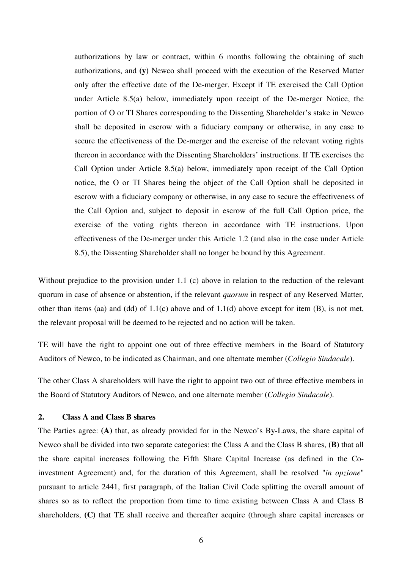authorizations by law or contract, within 6 months following the obtaining of such authorizations, and **(y)** Newco shall proceed with the execution of the Reserved Matter only after the effective date of the De-merger. Except if TE exercised the Call Option under Article 8.5(a) below, immediately upon receipt of the De-merger Notice, the portion of O or TI Shares corresponding to the Dissenting Shareholder's stake in Newco shall be deposited in escrow with a fiduciary company or otherwise, in any case to secure the effectiveness of the De-merger and the exercise of the relevant voting rights thereon in accordance with the Dissenting Shareholders' instructions. If TE exercises the Call Option under Article 8.5(a) below, immediately upon receipt of the Call Option notice, the O or TI Shares being the object of the Call Option shall be deposited in escrow with a fiduciary company or otherwise, in any case to secure the effectiveness of the Call Option and, subject to deposit in escrow of the full Call Option price, the exercise of the voting rights thereon in accordance with TE instructions. Upon effectiveness of the De-merger under this Article 1.2 (and also in the case under Article 8.5), the Dissenting Shareholder shall no longer be bound by this Agreement.

Without prejudice to the provision under 1.1 (c) above in relation to the reduction of the relevant quorum in case of absence or abstention, if the relevant *quorum* in respect of any Reserved Matter, other than items (aa) and (dd) of 1.1(c) above and of 1.1(d) above except for item (B), is not met, the relevant proposal will be deemed to be rejected and no action will be taken.

TE will have the right to appoint one out of three effective members in the Board of Statutory Auditors of Newco, to be indicated as Chairman, and one alternate member (*Collegio Sindacale*).

The other Class A shareholders will have the right to appoint two out of three effective members in the Board of Statutory Auditors of Newco, and one alternate member (*Collegio Sindacale*).

# **2. Class A and Class B shares**

The Parties agree: **(A)** that, as already provided for in the Newco's By-Laws, the share capital of Newco shall be divided into two separate categories: the Class A and the Class B shares, **(B)** that all the share capital increases following the Fifth Share Capital Increase (as defined in the Coinvestment Agreement) and, for the duration of this Agreement, shall be resolved "*in opzione*" pursuant to article 2441, first paragraph, of the Italian Civil Code splitting the overall amount of shares so as to reflect the proportion from time to time existing between Class A and Class B shareholders, **(C)** that TE shall receive and thereafter acquire (through share capital increases or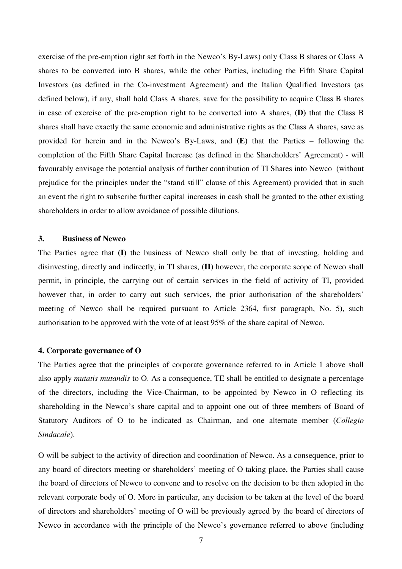exercise of the pre-emption right set forth in the Newco's By-Laws) only Class B shares or Class A shares to be converted into B shares, while the other Parties, including the Fifth Share Capital Investors (as defined in the Co-investment Agreement) and the Italian Qualified Investors (as defined below), if any, shall hold Class A shares, save for the possibility to acquire Class B shares in case of exercise of the pre-emption right to be converted into A shares, **(D)** that the Class B shares shall have exactly the same economic and administrative rights as the Class A shares, save as provided for herein and in the Newco's By-Laws, and **(E)** that the Parties – following the completion of the Fifth Share Capital Increase (as defined in the Shareholders' Agreement) - will favourably envisage the potential analysis of further contribution of TI Shares into Newco (without prejudice for the principles under the "stand still" clause of this Agreement) provided that in such an event the right to subscribe further capital increases in cash shall be granted to the other existing shareholders in order to allow avoidance of possible dilutions.

# **3. Business of Newco**

The Parties agree that **(I)** the business of Newco shall only be that of investing, holding and disinvesting, directly and indirectly, in TI shares, **(II)** however, the corporate scope of Newco shall permit, in principle, the carrying out of certain services in the field of activity of TI, provided however that, in order to carry out such services, the prior authorisation of the shareholders' meeting of Newco shall be required pursuant to Article 2364, first paragraph, No. 5), such authorisation to be approved with the vote of at least 95% of the share capital of Newco.

#### **4. Corporate governance of O**

The Parties agree that the principles of corporate governance referred to in Article 1 above shall also apply *mutatis mutandis* to O. As a consequence, TE shall be entitled to designate a percentage of the directors, including the Vice-Chairman, to be appointed by Newco in O reflecting its shareholding in the Newco's share capital and to appoint one out of three members of Board of Statutory Auditors of O to be indicated as Chairman, and one alternate member (*Collegio Sindacale*).

O will be subject to the activity of direction and coordination of Newco. As a consequence, prior to any board of directors meeting or shareholders' meeting of O taking place, the Parties shall cause the board of directors of Newco to convene and to resolve on the decision to be then adopted in the relevant corporate body of O. More in particular, any decision to be taken at the level of the board of directors and shareholders' meeting of O will be previously agreed by the board of directors of Newco in accordance with the principle of the Newco's governance referred to above (including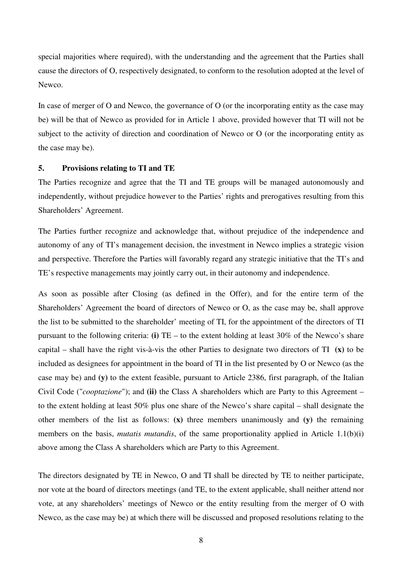special majorities where required), with the understanding and the agreement that the Parties shall cause the directors of O, respectively designated, to conform to the resolution adopted at the level of Newco.

In case of merger of O and Newco, the governance of O (or the incorporating entity as the case may be) will be that of Newco as provided for in Article 1 above, provided however that TI will not be subject to the activity of direction and coordination of Newco or O (or the incorporating entity as the case may be).

# **5. Provisions relating to TI and TE**

The Parties recognize and agree that the TI and TE groups will be managed autonomously and independently, without prejudice however to the Parties' rights and prerogatives resulting from this Shareholders' Agreement.

The Parties further recognize and acknowledge that, without prejudice of the independence and autonomy of any of TI's management decision, the investment in Newco implies a strategic vision and perspective. Therefore the Parties will favorably regard any strategic initiative that the TI's and TE's respective managements may jointly carry out, in their autonomy and independence.

As soon as possible after Closing (as defined in the Offer), and for the entire term of the Shareholders' Agreement the board of directors of Newco or O, as the case may be, shall approve the list to be submitted to the shareholder' meeting of TI, for the appointment of the directors of TI pursuant to the following criteria: **(i)** TE – to the extent holding at least 30% of the Newco's share capital – shall have the right vis-à-vis the other Parties to designate two directors of TI **(x)** to be included as designees for appointment in the board of TI in the list presented by O or Newco (as the case may be) and **(y)** to the extent feasible, pursuant to Article 2386, first paragraph, of the Italian Civil Code ("*cooptazione*"); and **(ii)** the Class A shareholders which are Party to this Agreement – to the extent holding at least 50% plus one share of the Newco's share capital – shall designate the other members of the list as follows: **(x)** three members unanimously and **(y)** the remaining members on the basis, *mutatis mutandis*, of the same proportionality applied in Article 1.1(b)(i) above among the Class A shareholders which are Party to this Agreement.

The directors designated by TE in Newco, O and TI shall be directed by TE to neither participate, nor vote at the board of directors meetings (and TE, to the extent applicable, shall neither attend nor vote, at any shareholders' meetings of Newco or the entity resulting from the merger of O with Newco, as the case may be) at which there will be discussed and proposed resolutions relating to the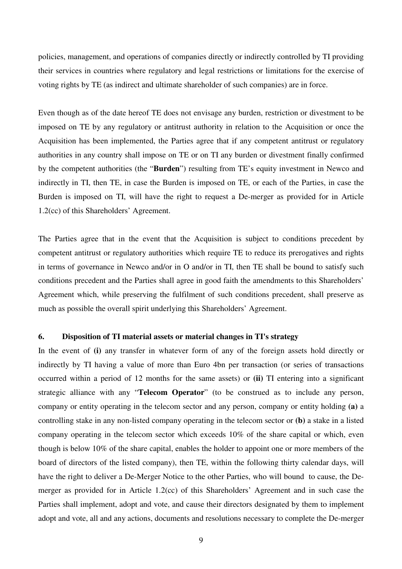policies, management, and operations of companies directly or indirectly controlled by TI providing their services in countries where regulatory and legal restrictions or limitations for the exercise of voting rights by TE (as indirect and ultimate shareholder of such companies) are in force.

Even though as of the date hereof TE does not envisage any burden, restriction or divestment to be imposed on TE by any regulatory or antitrust authority in relation to the Acquisition or once the Acquisition has been implemented, the Parties agree that if any competent antitrust or regulatory authorities in any country shall impose on TE or on TI any burden or divestment finally confirmed by the competent authorities (the "**Burden**") resulting from TE's equity investment in Newco and indirectly in TI, then TE, in case the Burden is imposed on TE, or each of the Parties, in case the Burden is imposed on TI, will have the right to request a De-merger as provided for in Article 1.2(cc) of this Shareholders' Agreement.

The Parties agree that in the event that the Acquisition is subject to conditions precedent by competent antitrust or regulatory authorities which require TE to reduce its prerogatives and rights in terms of governance in Newco and/or in O and/or in TI, then TE shall be bound to satisfy such conditions precedent and the Parties shall agree in good faith the amendments to this Shareholders' Agreement which, while preserving the fulfilment of such conditions precedent, shall preserve as much as possible the overall spirit underlying this Shareholders' Agreement.

# **6. Disposition of TI material assets or material changes in TI's strategy**

In the event of **(i)** any transfer in whatever form of any of the foreign assets hold directly or indirectly by TI having a value of more than Euro 4bn per transaction (or series of transactions occurred within a period of 12 months for the same assets) or **(ii)** TI entering into a significant strategic alliance with any "**Telecom Operator**" (to be construed as to include any person, company or entity operating in the telecom sector and any person, company or entity holding **(a)** a controlling stake in any non-listed company operating in the telecom sector or **(b)** a stake in a listed company operating in the telecom sector which exceeds 10% of the share capital or which, even though is below 10% of the share capital, enables the holder to appoint one or more members of the board of directors of the listed company), then TE, within the following thirty calendar days, will have the right to deliver a De-Merger Notice to the other Parties, who will bound to cause, the Demerger as provided for in Article 1.2(cc) of this Shareholders' Agreement and in such case the Parties shall implement, adopt and vote, and cause their directors designated by them to implement adopt and vote, all and any actions, documents and resolutions necessary to complete the De-merger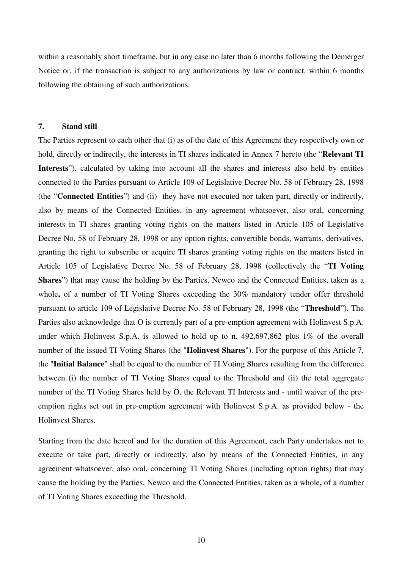within a reasonably short timeframe, but in any case no later than 6 months following the Demerger Notice or, if the transaction is subject to any authorizations by law or contract, within 6 months following the obtaining of such authorizations.

# **7. Stand still**

The Parties represent to each other that (i) as of the date of this Agreement they respectively own or hold, directly or indirectly, the interests in TI shares indicated in Annex 7 hereto (the "**Relevant TI**  Interests"), calculated by taking into account all the shares and interests also held by entities connected to the Parties pursuant to Article 109 of Legislative Decree No. 58 of February 28, 1998 (the "**Connected Entities**") and (ii) they have not executed nor taken part, directly or indirectly, also by means of the Connected Entities, in any agreement whatsoever, also oral, concerning interests in TI shares granting voting rights on the matters listed in Article 105 of Legislative Decree No. 58 of February 28, 1998 or any option rights, convertible bonds, warrants, derivatives, granting the right to subscribe or acquire TI shares granting voting rights on the matters listed in Article 105 of Legislative Decree No. 58 of February 28, 1998 (collectively the "**TI Voting Shares**") that may cause the holding by the Parties, Newco and the Connected Entities, taken as a whole**,** of a number of TI Voting Shares exceeding the 30% mandatory tender offer threshold pursuant to article 109 of Legislative Decree No. 58 of February 28, 1998 (the "**Threshold**"). The Parties also acknowledge that O is currently part of a pre-emption agreement with Holinvest S.p.A. under which Holinvest S.p.A. is allowed to hold up to n. 492,697,862 plus 1% of the overall number of the issued TI Voting Shares (the "**Holinvest Shares**"). For the purpose of this Article 7, the "**Initial Balance**" shall be equal to the number of TI Voting Shares resulting from the difference between (i) the number of TI Voting Shares equal to the Threshold and (ii) the total aggregate number of the TI Voting Shares held by O, the Relevant TI Interests and - until waiver of the preemption rights set out in pre-emption agreement with Holinvest S.p.A. as provided below - the Holinvest Shares.

Starting from the date hereof and for the duration of this Agreement, each Party undertakes not to execute or take part, directly or indirectly, also by means of the Connected Entities, in any agreement whatsoever, also oral, concerning TI Voting Shares (including option rights) that may cause the holding by the Parties, Newco and the Connected Entities, taken as a whole**,** of a number of TI Voting Shares exceeding the Threshold.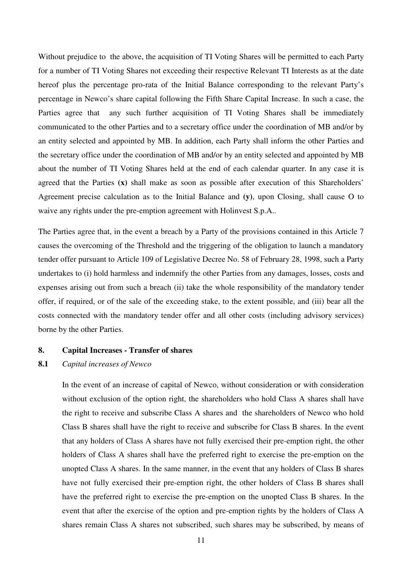Without prejudice to the above, the acquisition of TI Voting Shares will be permitted to each Party for a number of TI Voting Shares not exceeding their respective Relevant TI Interests as at the date hereof plus the percentage pro-rata of the Initial Balance corresponding to the relevant Party's percentage in Newco's share capital following the Fifth Share Capital Increase. In such a case, the Parties agree that any such further acquisition of TI Voting Shares shall be immediately communicated to the other Parties and to a secretary office under the coordination of MB and/or by an entity selected and appointed by MB. In addition, each Party shall inform the other Parties and the secretary office under the coordination of MB and/or by an entity selected and appointed by MB about the number of TI Voting Shares held at the end of each calendar quarter. In any case it is agreed that the Parties **(x)** shall make as soon as possible after execution of this Shareholders' Agreement precise calculation as to the Initial Balance and **(y)**, upon Closing, shall cause O to waive any rights under the pre-emption agreement with Holinvest S.p.A..

The Parties agree that, in the event a breach by a Party of the provisions contained in this Article 7 causes the overcoming of the Threshold and the triggering of the obligation to launch a mandatory tender offer pursuant to Article 109 of Legislative Decree No. 58 of February 28, 1998, such a Party undertakes to (i) hold harmless and indemnify the other Parties from any damages, losses, costs and expenses arising out from such a breach (ii) take the whole responsibility of the mandatory tender offer, if required, or of the sale of the exceeding stake, to the extent possible, and (iii) bear all the costs connected with the mandatory tender offer and all other costs (including advisory services) borne by the other Parties.

#### **8. Capital Increases - Transfer of shares**

#### **8.1** *Capital increases of Newco*

In the event of an increase of capital of Newco, without consideration or with consideration without exclusion of the option right, the shareholders who hold Class A shares shall have the right to receive and subscribe Class A shares and the shareholders of Newco who hold Class B shares shall have the right to receive and subscribe for Class B shares. In the event that any holders of Class A shares have not fully exercised their pre-emption right, the other holders of Class A shares shall have the preferred right to exercise the pre-emption on the unopted Class A shares. In the same manner, in the event that any holders of Class B shares have not fully exercised their pre-emption right, the other holders of Class B shares shall have the preferred right to exercise the pre-emption on the unopted Class B shares. In the event that after the exercise of the option and pre-emption rights by the holders of Class A shares remain Class A shares not subscribed, such shares may be subscribed, by means of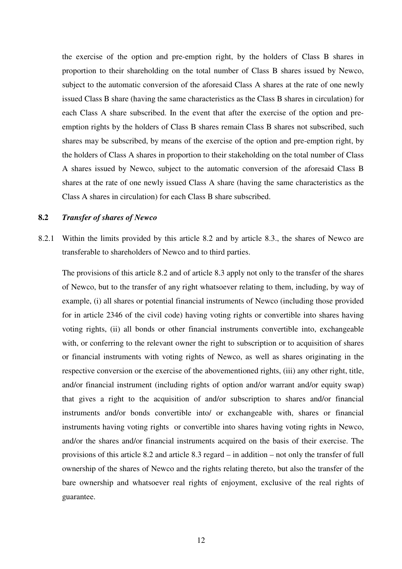the exercise of the option and pre-emption right, by the holders of Class B shares in proportion to their shareholding on the total number of Class B shares issued by Newco, subject to the automatic conversion of the aforesaid Class A shares at the rate of one newly issued Class B share (having the same characteristics as the Class B shares in circulation) for each Class A share subscribed. In the event that after the exercise of the option and preemption rights by the holders of Class B shares remain Class B shares not subscribed, such shares may be subscribed, by means of the exercise of the option and pre-emption right, by the holders of Class A shares in proportion to their stakeholding on the total number of Class A shares issued by Newco, subject to the automatic conversion of the aforesaid Class B shares at the rate of one newly issued Class A share (having the same characteristics as the Class A shares in circulation) for each Class B share subscribed.

# **8.2** *Transfer of shares of Newco*

8.2.1 Within the limits provided by this article 8.2 and by article 8.3., the shares of Newco are transferable to shareholders of Newco and to third parties.

The provisions of this article 8.2 and of article 8.3 apply not only to the transfer of the shares of Newco, but to the transfer of any right whatsoever relating to them, including, by way of example, (i) all shares or potential financial instruments of Newco (including those provided for in article 2346 of the civil code) having voting rights or convertible into shares having voting rights, (ii) all bonds or other financial instruments convertible into, exchangeable with, or conferring to the relevant owner the right to subscription or to acquisition of shares or financial instruments with voting rights of Newco, as well as shares originating in the respective conversion or the exercise of the abovementioned rights, (iii) any other right, title, and/or financial instrument (including rights of option and/or warrant and/or equity swap) that gives a right to the acquisition of and/or subscription to shares and/or financial instruments and/or bonds convertible into/ or exchangeable with, shares or financial instruments having voting rights or convertible into shares having voting rights in Newco, and/or the shares and/or financial instruments acquired on the basis of their exercise. The provisions of this article 8.2 and article 8.3 regard – in addition – not only the transfer of full ownership of the shares of Newco and the rights relating thereto, but also the transfer of the bare ownership and whatsoever real rights of enjoyment, exclusive of the real rights of guarantee.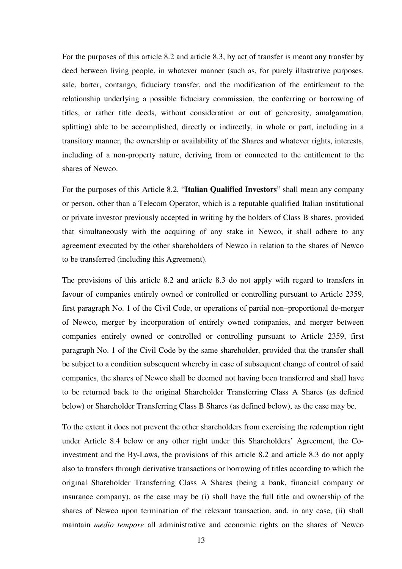For the purposes of this article 8.2 and article 8.3, by act of transfer is meant any transfer by deed between living people, in whatever manner (such as, for purely illustrative purposes, sale, barter, contango, fiduciary transfer, and the modification of the entitlement to the relationship underlying a possible fiduciary commission, the conferring or borrowing of titles, or rather title deeds, without consideration or out of generosity, amalgamation, splitting) able to be accomplished, directly or indirectly, in whole or part, including in a transitory manner, the ownership or availability of the Shares and whatever rights, interests, including of a non-property nature, deriving from or connected to the entitlement to the shares of Newco.

For the purposes of this Article 8.2, "**Italian Qualified Investors**" shall mean any company or person, other than a Telecom Operator, which is a reputable qualified Italian institutional or private investor previously accepted in writing by the holders of Class B shares, provided that simultaneously with the acquiring of any stake in Newco, it shall adhere to any agreement executed by the other shareholders of Newco in relation to the shares of Newco to be transferred (including this Agreement).

The provisions of this article 8.2 and article 8.3 do not apply with regard to transfers in favour of companies entirely owned or controlled or controlling pursuant to Article 2359, first paragraph No. 1 of the Civil Code, or operations of partial non–proportional de-merger of Newco, merger by incorporation of entirely owned companies, and merger between companies entirely owned or controlled or controlling pursuant to Article 2359, first paragraph No. 1 of the Civil Code by the same shareholder, provided that the transfer shall be subject to a condition subsequent whereby in case of subsequent change of control of said companies, the shares of Newco shall be deemed not having been transferred and shall have to be returned back to the original Shareholder Transferring Class A Shares (as defined below) or Shareholder Transferring Class B Shares (as defined below), as the case may be.

To the extent it does not prevent the other shareholders from exercising the redemption right under Article 8.4 below or any other right under this Shareholders' Agreement, the Coinvestment and the By-Laws, the provisions of this article 8.2 and article 8.3 do not apply also to transfers through derivative transactions or borrowing of titles according to which the original Shareholder Transferring Class A Shares (being a bank, financial company or insurance company), as the case may be (i) shall have the full title and ownership of the shares of Newco upon termination of the relevant transaction, and, in any case, (ii) shall maintain *medio tempore* all administrative and economic rights on the shares of Newco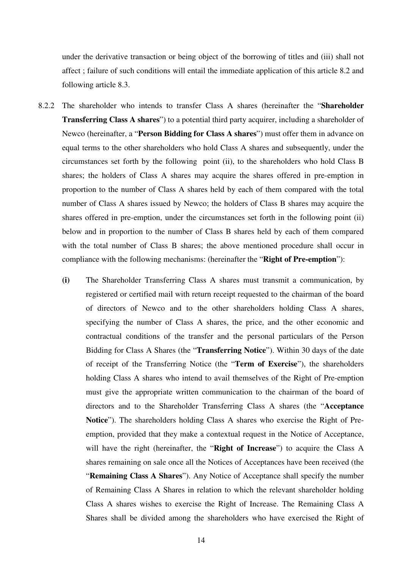under the derivative transaction or being object of the borrowing of titles and (iii) shall not affect ; failure of such conditions will entail the immediate application of this article 8.2 and following article 8.3.

- 8.2.2 The shareholder who intends to transfer Class A shares (hereinafter the "**Shareholder Transferring Class A shares**") to a potential third party acquirer, including a shareholder of Newco (hereinafter, a "**Person Bidding for Class A shares**") must offer them in advance on equal terms to the other shareholders who hold Class A shares and subsequently, under the circumstances set forth by the following point (ii), to the shareholders who hold Class B shares; the holders of Class A shares may acquire the shares offered in pre-emption in proportion to the number of Class A shares held by each of them compared with the total number of Class A shares issued by Newco; the holders of Class B shares may acquire the shares offered in pre-emption, under the circumstances set forth in the following point (ii) below and in proportion to the number of Class B shares held by each of them compared with the total number of Class B shares; the above mentioned procedure shall occur in compliance with the following mechanisms: (hereinafter the "**Right of Pre-emption**"):
	- **(i)** The Shareholder Transferring Class A shares must transmit a communication, by registered or certified mail with return receipt requested to the chairman of the board of directors of Newco and to the other shareholders holding Class A shares, specifying the number of Class A shares, the price, and the other economic and contractual conditions of the transfer and the personal particulars of the Person Bidding for Class A Shares (the "**Transferring Notice**"). Within 30 days of the date of receipt of the Transferring Notice (the "**Term of Exercise**"), the shareholders holding Class A shares who intend to avail themselves of the Right of Pre-emption must give the appropriate written communication to the chairman of the board of directors and to the Shareholder Transferring Class A shares (the "**Acceptance Notice**"). The shareholders holding Class A shares who exercise the Right of Preemption, provided that they make a contextual request in the Notice of Acceptance, will have the right (hereinafter, the "**Right of Increase**") to acquire the Class A shares remaining on sale once all the Notices of Acceptances have been received (the "**Remaining Class A Shares**"). Any Notice of Acceptance shall specify the number of Remaining Class A Shares in relation to which the relevant shareholder holding Class A shares wishes to exercise the Right of Increase. The Remaining Class A Shares shall be divided among the shareholders who have exercised the Right of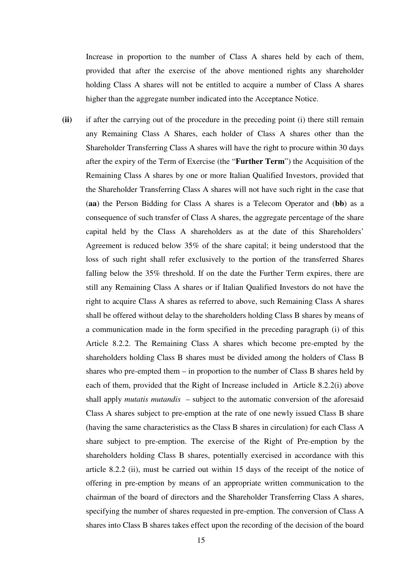Increase in proportion to the number of Class A shares held by each of them, provided that after the exercise of the above mentioned rights any shareholder holding Class A shares will not be entitled to acquire a number of Class A shares higher than the aggregate number indicated into the Acceptance Notice.

**(ii)** if after the carrying out of the procedure in the preceding point (i) there still remain any Remaining Class A Shares, each holder of Class A shares other than the Shareholder Transferring Class A shares will have the right to procure within 30 days after the expiry of the Term of Exercise (the "**Further Term**") the Acquisition of the Remaining Class A shares by one or more Italian Qualified Investors, provided that the Shareholder Transferring Class A shares will not have such right in the case that (**aa**) the Person Bidding for Class A shares is a Telecom Operator and (**bb**) as a consequence of such transfer of Class A shares, the aggregate percentage of the share capital held by the Class A shareholders as at the date of this Shareholders' Agreement is reduced below 35% of the share capital; it being understood that the loss of such right shall refer exclusively to the portion of the transferred Shares falling below the 35% threshold. If on the date the Further Term expires, there are still any Remaining Class A shares or if Italian Qualified Investors do not have the right to acquire Class A shares as referred to above, such Remaining Class A shares shall be offered without delay to the shareholders holding Class B shares by means of a communication made in the form specified in the preceding paragraph (i) of this Article 8.2.2. The Remaining Class A shares which become pre-empted by the shareholders holding Class B shares must be divided among the holders of Class B shares who pre-empted them – in proportion to the number of Class B shares held by each of them, provided that the Right of Increase included in Article 8.2.2(i) above shall apply *mutatis mutandis* – subject to the automatic conversion of the aforesaid Class A shares subject to pre-emption at the rate of one newly issued Class B share (having the same characteristics as the Class B shares in circulation) for each Class A share subject to pre-emption. The exercise of the Right of Pre-emption by the shareholders holding Class B shares, potentially exercised in accordance with this article 8.2.2 (ii), must be carried out within 15 days of the receipt of the notice of offering in pre-emption by means of an appropriate written communication to the chairman of the board of directors and the Shareholder Transferring Class A shares, specifying the number of shares requested in pre-emption. The conversion of Class A shares into Class B shares takes effect upon the recording of the decision of the board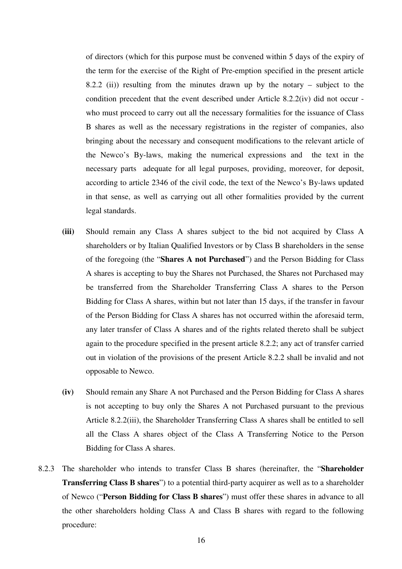of directors (which for this purpose must be convened within 5 days of the expiry of the term for the exercise of the Right of Pre-emption specified in the present article 8.2.2 (ii)) resulting from the minutes drawn up by the notary – subject to the condition precedent that the event described under Article 8.2.2(iv) did not occur who must proceed to carry out all the necessary formalities for the issuance of Class B shares as well as the necessary registrations in the register of companies, also bringing about the necessary and consequent modifications to the relevant article of the Newco's By-laws, making the numerical expressions and the text in the necessary parts adequate for all legal purposes, providing, moreover, for deposit, according to article 2346 of the civil code, the text of the Newco's By-laws updated in that sense, as well as carrying out all other formalities provided by the current legal standards.

- **(iii)** Should remain any Class A shares subject to the bid not acquired by Class A shareholders or by Italian Qualified Investors or by Class B shareholders in the sense of the foregoing (the "**Shares A not Purchased**") and the Person Bidding for Class A shares is accepting to buy the Shares not Purchased, the Shares not Purchased may be transferred from the Shareholder Transferring Class A shares to the Person Bidding for Class A shares, within but not later than 15 days, if the transfer in favour of the Person Bidding for Class A shares has not occurred within the aforesaid term, any later transfer of Class A shares and of the rights related thereto shall be subject again to the procedure specified in the present article 8.2.2; any act of transfer carried out in violation of the provisions of the present Article 8.2.2 shall be invalid and not opposable to Newco.
- **(iv)** Should remain any Share A not Purchased and the Person Bidding for Class A shares is not accepting to buy only the Shares A not Purchased pursuant to the previous Article 8.2.2(iii), the Shareholder Transferring Class A shares shall be entitled to sell all the Class A shares object of the Class A Transferring Notice to the Person Bidding for Class A shares.
- 8.2.3 The shareholder who intends to transfer Class B shares (hereinafter, the "**Shareholder Transferring Class B shares**") to a potential third-party acquirer as well as to a shareholder of Newco ("**Person Bidding for Class B shares**") must offer these shares in advance to all the other shareholders holding Class A and Class B shares with regard to the following procedure: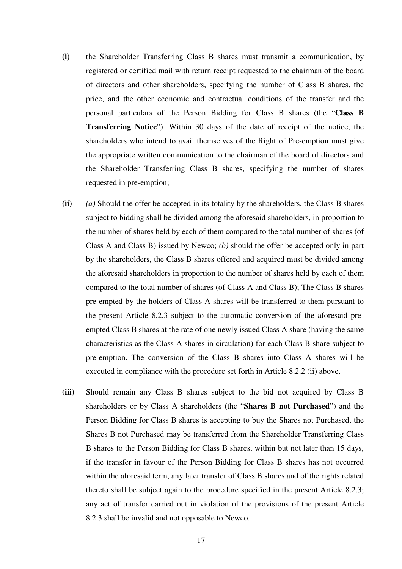- **(i)** the Shareholder Transferring Class B shares must transmit a communication, by registered or certified mail with return receipt requested to the chairman of the board of directors and other shareholders, specifying the number of Class B shares, the price, and the other economic and contractual conditions of the transfer and the personal particulars of the Person Bidding for Class B shares (the "**Class B Transferring Notice**"). Within 30 days of the date of receipt of the notice, the shareholders who intend to avail themselves of the Right of Pre-emption must give the appropriate written communication to the chairman of the board of directors and the Shareholder Transferring Class B shares, specifying the number of shares requested in pre-emption;
- **(ii)** *(a)* Should the offer be accepted in its totality by the shareholders, the Class B shares subject to bidding shall be divided among the aforesaid shareholders, in proportion to the number of shares held by each of them compared to the total number of shares (of Class A and Class B) issued by Newco; *(b)* should the offer be accepted only in part by the shareholders, the Class B shares offered and acquired must be divided among the aforesaid shareholders in proportion to the number of shares held by each of them compared to the total number of shares (of Class A and Class B); The Class B shares pre-empted by the holders of Class A shares will be transferred to them pursuant to the present Article 8.2.3 subject to the automatic conversion of the aforesaid preempted Class B shares at the rate of one newly issued Class A share (having the same characteristics as the Class A shares in circulation) for each Class B share subject to pre-emption. The conversion of the Class B shares into Class A shares will be executed in compliance with the procedure set forth in Article 8.2.2 (ii) above.
- **(iii)** Should remain any Class B shares subject to the bid not acquired by Class B shareholders or by Class A shareholders (the "**Shares B not Purchased**") and the Person Bidding for Class B shares is accepting to buy the Shares not Purchased, the Shares B not Purchased may be transferred from the Shareholder Transferring Class B shares to the Person Bidding for Class B shares, within but not later than 15 days, if the transfer in favour of the Person Bidding for Class B shares has not occurred within the aforesaid term, any later transfer of Class B shares and of the rights related thereto shall be subject again to the procedure specified in the present Article 8.2.3; any act of transfer carried out in violation of the provisions of the present Article 8.2.3 shall be invalid and not opposable to Newco.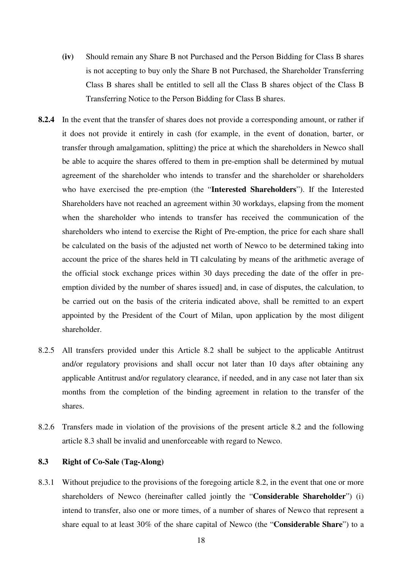- **(iv)** Should remain any Share B not Purchased and the Person Bidding for Class B shares is not accepting to buy only the Share B not Purchased, the Shareholder Transferring Class B shares shall be entitled to sell all the Class B shares object of the Class B Transferring Notice to the Person Bidding for Class B shares.
- **8.2.4** In the event that the transfer of shares does not provide a corresponding amount, or rather if it does not provide it entirely in cash (for example, in the event of donation, barter, or transfer through amalgamation, splitting) the price at which the shareholders in Newco shall be able to acquire the shares offered to them in pre-emption shall be determined by mutual agreement of the shareholder who intends to transfer and the shareholder or shareholders who have exercised the pre-emption (the "**Interested Shareholders**"). If the Interested Shareholders have not reached an agreement within 30 workdays, elapsing from the moment when the shareholder who intends to transfer has received the communication of the shareholders who intend to exercise the Right of Pre-emption, the price for each share shall be calculated on the basis of the adjusted net worth of Newco to be determined taking into account the price of the shares held in TI calculating by means of the arithmetic average of the official stock exchange prices within 30 days preceding the date of the offer in preemption divided by the number of shares issued] and, in case of disputes, the calculation, to be carried out on the basis of the criteria indicated above, shall be remitted to an expert appointed by the President of the Court of Milan, upon application by the most diligent shareholder.
- 8.2.5 All transfers provided under this Article 8.2 shall be subject to the applicable Antitrust and/or regulatory provisions and shall occur not later than 10 days after obtaining any applicable Antitrust and/or regulatory clearance, if needed, and in any case not later than six months from the completion of the binding agreement in relation to the transfer of the shares.
- 8.2.6 Transfers made in violation of the provisions of the present article 8.2 and the following article 8.3 shall be invalid and unenforceable with regard to Newco.

# **8.3 Right of Co-Sale (Tag-Along)**

8.3.1 Without prejudice to the provisions of the foregoing article 8.2, in the event that one or more shareholders of Newco (hereinafter called jointly the "**Considerable Shareholder**") (i) intend to transfer, also one or more times, of a number of shares of Newco that represent a share equal to at least 30% of the share capital of Newco (the "**Considerable Share**") to a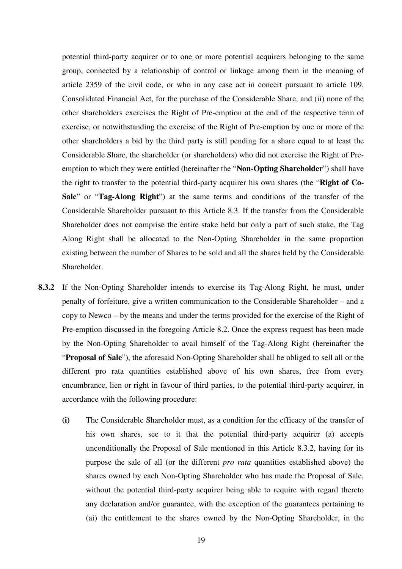potential third-party acquirer or to one or more potential acquirers belonging to the same group, connected by a relationship of control or linkage among them in the meaning of article 2359 of the civil code, or who in any case act in concert pursuant to article 109, Consolidated Financial Act, for the purchase of the Considerable Share, and (ii) none of the other shareholders exercises the Right of Pre-emption at the end of the respective term of exercise, or notwithstanding the exercise of the Right of Pre-emption by one or more of the other shareholders a bid by the third party is still pending for a share equal to at least the Considerable Share, the shareholder (or shareholders) who did not exercise the Right of Preemption to which they were entitled (hereinafter the "**Non-Opting Shareholder**") shall have the right to transfer to the potential third-party acquirer his own shares (the "**Right of Co-Sale**" or "**Tag-Along Right**") at the same terms and conditions of the transfer of the Considerable Shareholder pursuant to this Article 8.3. If the transfer from the Considerable Shareholder does not comprise the entire stake held but only a part of such stake, the Tag Along Right shall be allocated to the Non-Opting Shareholder in the same proportion existing between the number of Shares to be sold and all the shares held by the Considerable Shareholder.

- **8.3.2** If the Non-Opting Shareholder intends to exercise its Tag-Along Right, he must, under penalty of forfeiture, give a written communication to the Considerable Shareholder – and a copy to Newco – by the means and under the terms provided for the exercise of the Right of Pre-emption discussed in the foregoing Article 8.2. Once the express request has been made by the Non-Opting Shareholder to avail himself of the Tag-Along Right (hereinafter the "**Proposal of Sale**"), the aforesaid Non-Opting Shareholder shall be obliged to sell all or the different pro rata quantities established above of his own shares, free from every encumbrance, lien or right in favour of third parties, to the potential third-party acquirer, in accordance with the following procedure:
	- **(i)** The Considerable Shareholder must, as a condition for the efficacy of the transfer of his own shares, see to it that the potential third-party acquirer (a) accepts unconditionally the Proposal of Sale mentioned in this Article 8.3.2, having for its purpose the sale of all (or the different *pro rata* quantities established above) the shares owned by each Non-Opting Shareholder who has made the Proposal of Sale, without the potential third-party acquirer being able to require with regard thereto any declaration and/or guarantee, with the exception of the guarantees pertaining to (ai) the entitlement to the shares owned by the Non-Opting Shareholder, in the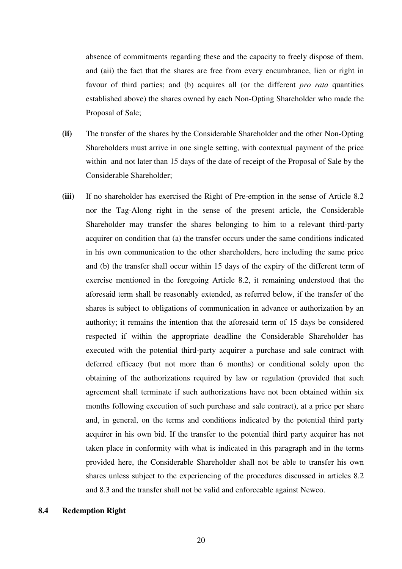absence of commitments regarding these and the capacity to freely dispose of them, and (aii) the fact that the shares are free from every encumbrance, lien or right in favour of third parties; and (b) acquires all (or the different *pro rata* quantities established above) the shares owned by each Non-Opting Shareholder who made the Proposal of Sale;

- **(ii)** The transfer of the shares by the Considerable Shareholder and the other Non-Opting Shareholders must arrive in one single setting, with contextual payment of the price within and not later than 15 days of the date of receipt of the Proposal of Sale by the Considerable Shareholder;
- **(iii)** If no shareholder has exercised the Right of Pre-emption in the sense of Article 8.2 nor the Tag-Along right in the sense of the present article, the Considerable Shareholder may transfer the shares belonging to him to a relevant third-party acquirer on condition that (a) the transfer occurs under the same conditions indicated in his own communication to the other shareholders, here including the same price and (b) the transfer shall occur within 15 days of the expiry of the different term of exercise mentioned in the foregoing Article 8.2, it remaining understood that the aforesaid term shall be reasonably extended, as referred below, if the transfer of the shares is subject to obligations of communication in advance or authorization by an authority; it remains the intention that the aforesaid term of 15 days be considered respected if within the appropriate deadline the Considerable Shareholder has executed with the potential third-party acquirer a purchase and sale contract with deferred efficacy (but not more than 6 months) or conditional solely upon the obtaining of the authorizations required by law or regulation (provided that such agreement shall terminate if such authorizations have not been obtained within six months following execution of such purchase and sale contract), at a price per share and, in general, on the terms and conditions indicated by the potential third party acquirer in his own bid. If the transfer to the potential third party acquirer has not taken place in conformity with what is indicated in this paragraph and in the terms provided here, the Considerable Shareholder shall not be able to transfer his own shares unless subject to the experiencing of the procedures discussed in articles 8.2 and 8.3 and the transfer shall not be valid and enforceable against Newco.

# **8.4 Redemption Right**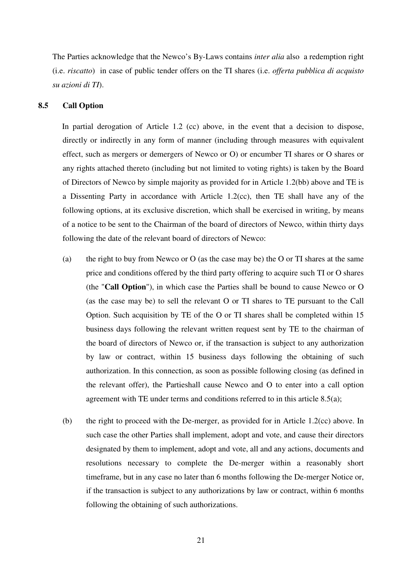The Parties acknowledge that the Newco's By-Laws contains *inter alia* also a redemption right (i.e. *riscatto*) in case of public tender offers on the TI shares (i.e. *offerta pubblica di acquisto su azioni di TI*).

# **8.5 Call Option**

In partial derogation of Article 1.2 (cc) above, in the event that a decision to dispose, directly or indirectly in any form of manner (including through measures with equivalent effect, such as mergers or demergers of Newco or O) or encumber TI shares or O shares or any rights attached thereto (including but not limited to voting rights) is taken by the Board of Directors of Newco by simple majority as provided for in Article 1.2(bb) above and TE is a Dissenting Party in accordance with Article 1.2(cc), then TE shall have any of the following options, at its exclusive discretion, which shall be exercised in writing, by means of a notice to be sent to the Chairman of the board of directors of Newco, within thirty days following the date of the relevant board of directors of Newco:

- (a) the right to buy from Newco or O (as the case may be) the O or TI shares at the same price and conditions offered by the third party offering to acquire such TI or O shares (the "**Call Option**"), in which case the Parties shall be bound to cause Newco or O (as the case may be) to sell the relevant O or TI shares to TE pursuant to the Call Option. Such acquisition by TE of the O or TI shares shall be completed within 15 business days following the relevant written request sent by TE to the chairman of the board of directors of Newco or, if the transaction is subject to any authorization by law or contract, within 15 business days following the obtaining of such authorization. In this connection, as soon as possible following closing (as defined in the relevant offer), the Partieshall cause Newco and O to enter into a call option agreement with TE under terms and conditions referred to in this article 8.5(a);
- (b) the right to proceed with the De-merger, as provided for in Article 1.2(cc) above. In such case the other Parties shall implement, adopt and vote, and cause their directors designated by them to implement, adopt and vote, all and any actions, documents and resolutions necessary to complete the De-merger within a reasonably short timeframe, but in any case no later than 6 months following the De-merger Notice or, if the transaction is subject to any authorizations by law or contract, within 6 months following the obtaining of such authorizations.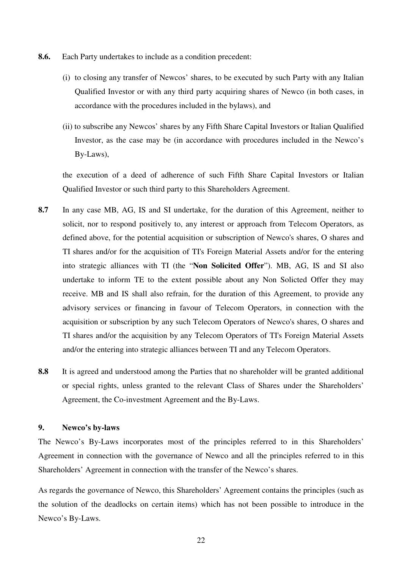- **8.6.** Each Party undertakes to include as a condition precedent:
	- (i) to closing any transfer of Newcos' shares, to be executed by such Party with any Italian Qualified Investor or with any third party acquiring shares of Newco (in both cases, in accordance with the procedures included in the bylaws), and
	- (ii) to subscribe any Newcos' shares by any Fifth Share Capital Investors or Italian Qualified Investor, as the case may be (in accordance with procedures included in the Newco's By-Laws),

the execution of a deed of adherence of such Fifth Share Capital Investors or Italian Qualified Investor or such third party to this Shareholders Agreement.

- **8.7** In any case MB, AG, IS and SI undertake, for the duration of this Agreement, neither to solicit, nor to respond positively to, any interest or approach from Telecom Operators, as defined above, for the potential acquisition or subscription of Newco's shares, O shares and TI shares and/or for the acquisition of TI's Foreign Material Assets and/or for the entering into strategic alliances with TI (the "**Non Solicited Offer**"). MB, AG, IS and SI also undertake to inform TE to the extent possible about any Non Solicted Offer they may receive. MB and IS shall also refrain, for the duration of this Agreement, to provide any advisory services or financing in favour of Telecom Operators, in connection with the acquisition or subscription by any such Telecom Operators of Newco's shares, O shares and TI shares and/or the acquisition by any Telecom Operators of TI's Foreign Material Assets and/or the entering into strategic alliances between TI and any Telecom Operators.
- **8.8** It is agreed and understood among the Parties that no shareholder will be granted additional or special rights, unless granted to the relevant Class of Shares under the Shareholders' Agreement, the Co-investment Agreement and the By-Laws.

# **9. Newco's by-laws**

The Newco's By-Laws incorporates most of the principles referred to in this Shareholders' Agreement in connection with the governance of Newco and all the principles referred to in this Shareholders' Agreement in connection with the transfer of the Newco's shares.

As regards the governance of Newco, this Shareholders' Agreement contains the principles (such as the solution of the deadlocks on certain items) which has not been possible to introduce in the Newco's By-Laws.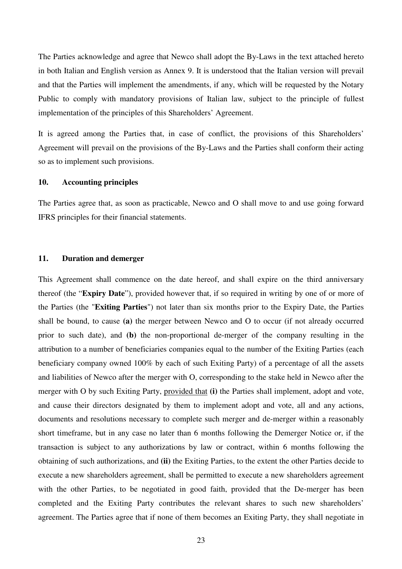The Parties acknowledge and agree that Newco shall adopt the By-Laws in the text attached hereto in both Italian and English version as Annex 9. It is understood that the Italian version will prevail and that the Parties will implement the amendments, if any, which will be requested by the Notary Public to comply with mandatory provisions of Italian law, subject to the principle of fullest implementation of the principles of this Shareholders' Agreement.

It is agreed among the Parties that, in case of conflict, the provisions of this Shareholders' Agreement will prevail on the provisions of the By-Laws and the Parties shall conform their acting so as to implement such provisions.

# **10. Accounting principles**

The Parties agree that, as soon as practicable, Newco and O shall move to and use going forward IFRS principles for their financial statements.

# **11. Duration and demerger**

This Agreement shall commence on the date hereof, and shall expire on the third anniversary thereof (the "**Expiry Date**"), provided however that, if so required in writing by one of or more of the Parties (the "**Exiting Parties**") not later than six months prior to the Expiry Date, the Parties shall be bound, to cause **(a)** the merger between Newco and O to occur (if not already occurred prior to such date), and **(b)** the non-proportional de-merger of the company resulting in the attribution to a number of beneficiaries companies equal to the number of the Exiting Parties (each beneficiary company owned 100% by each of such Exiting Party) of a percentage of all the assets and liabilities of Newco after the merger with O, corresponding to the stake held in Newco after the merger with O by such Exiting Party, provided that **(i)** the Parties shall implement, adopt and vote, and cause their directors designated by them to implement adopt and vote, all and any actions, documents and resolutions necessary to complete such merger and de-merger within a reasonably short timeframe, but in any case no later than 6 months following the Demerger Notice or, if the transaction is subject to any authorizations by law or contract, within 6 months following the obtaining of such authorizations, and **(ii)** the Exiting Parties, to the extent the other Parties decide to execute a new shareholders agreement, shall be permitted to execute a new shareholders agreement with the other Parties, to be negotiated in good faith, provided that the De-merger has been completed and the Exiting Party contributes the relevant shares to such new shareholders' agreement. The Parties agree that if none of them becomes an Exiting Party, they shall negotiate in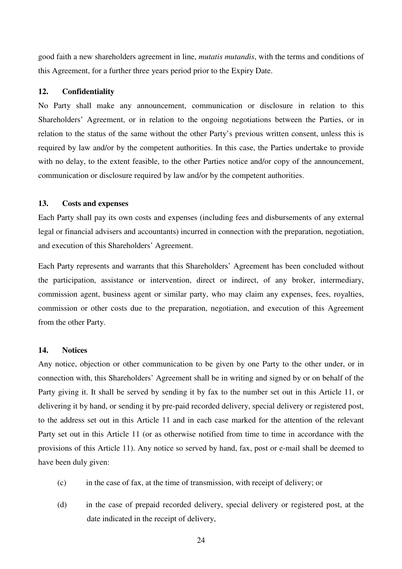good faith a new shareholders agreement in line, *mutatis mutandis*, with the terms and conditions of this Agreement, for a further three years period prior to the Expiry Date.

# **12. Confidentiality**

No Party shall make any announcement, communication or disclosure in relation to this Shareholders' Agreement, or in relation to the ongoing negotiations between the Parties, or in relation to the status of the same without the other Party's previous written consent, unless this is required by law and/or by the competent authorities. In this case, the Parties undertake to provide with no delay, to the extent feasible, to the other Parties notice and/or copy of the announcement, communication or disclosure required by law and/or by the competent authorities.

# **13. Costs and expenses**

Each Party shall pay its own costs and expenses (including fees and disbursements of any external legal or financial advisers and accountants) incurred in connection with the preparation, negotiation, and execution of this Shareholders' Agreement.

Each Party represents and warrants that this Shareholders' Agreement has been concluded without the participation, assistance or intervention, direct or indirect, of any broker, intermediary, commission agent, business agent or similar party, who may claim any expenses, fees, royalties, commission or other costs due to the preparation, negotiation, and execution of this Agreement from the other Party.

#### **14. Notices**

Any notice, objection or other communication to be given by one Party to the other under, or in connection with, this Shareholders' Agreement shall be in writing and signed by or on behalf of the Party giving it. It shall be served by sending it by fax to the number set out in this Article 11, or delivering it by hand, or sending it by pre-paid recorded delivery, special delivery or registered post, to the address set out in this Article 11 and in each case marked for the attention of the relevant Party set out in this Article 11 (or as otherwise notified from time to time in accordance with the provisions of this Article 11). Any notice so served by hand, fax, post or e-mail shall be deemed to have been duly given:

- (c) in the case of fax, at the time of transmission, with receipt of delivery; or
- (d) in the case of prepaid recorded delivery, special delivery or registered post, at the date indicated in the receipt of delivery,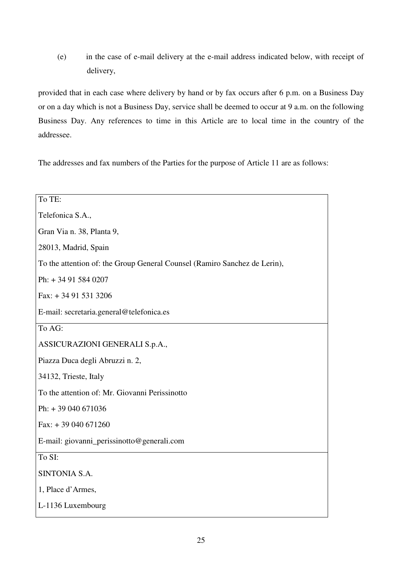(e) in the case of e-mail delivery at the e-mail address indicated below, with receipt of delivery,

provided that in each case where delivery by hand or by fax occurs after 6 p.m. on a Business Day or on a day which is not a Business Day, service shall be deemed to occur at 9 a.m. on the following Business Day. Any references to time in this Article are to local time in the country of the addressee.

The addresses and fax numbers of the Parties for the purpose of Article 11 are as follows:

| To TE:                                                                    |
|---------------------------------------------------------------------------|
| Telefonica S.A.,                                                          |
| Gran Via n. 38, Planta 9,                                                 |
| 28013, Madrid, Spain                                                      |
| To the attention of: the Group General Counsel (Ramiro Sanchez de Lerin), |
| Ph: +34 91 584 0207                                                       |
| Fax: $+34915313206$                                                       |
| E-mail: secretaria.general@telefonica.es                                  |
| To AG:                                                                    |
| ASSICURAZIONI GENERALI S.p.A.,                                            |
| Piazza Duca degli Abruzzi n. 2,                                           |
| 34132, Trieste, Italy                                                     |
| To the attention of: Mr. Giovanni Perissinotto                            |
| Ph: $+39040671036$                                                        |
| Fax: $+39040671260$                                                       |
| E-mail: giovanni_perissinotto@generali.com                                |
| To SI:                                                                    |
| SINTONIA S.A.                                                             |
| 1, Place d'Armes,                                                         |
| L-1136 Luxembourg                                                         |
|                                                                           |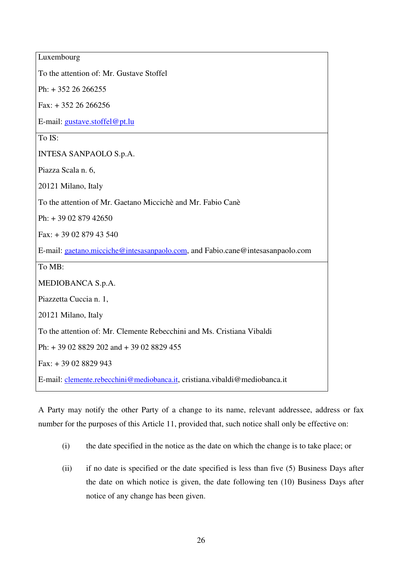| Luxembourg                                                                     |
|--------------------------------------------------------------------------------|
| To the attention of: Mr. Gustave Stoffel                                       |
| Ph: $+35226266255$                                                             |
| Fax: $+35226266256$                                                            |
| E-mail: gustave.stoffel@pt.lu                                                  |
| To IS:                                                                         |
| <b>INTESA SANPAOLO S.p.A.</b>                                                  |
| Piazza Scala n. 6,                                                             |
| 20121 Milano, Italy                                                            |
| To the attention of Mr. Gaetano Miccichè and Mr. Fabio Canè                    |
| Ph: +39 02 879 42650                                                           |
| Fax: +39 02 879 43 540                                                         |
| E-mail: gaetano.micciche@intesasanpaolo.com, and Fabio.cane@intesasanpaolo.com |
| To MB:                                                                         |
| MEDIOBANCA S.p.A.                                                              |
| Piazzetta Cuccia n. 1,                                                         |
| 20121 Milano, Italy                                                            |
| To the attention of: Mr. Clemente Rebecchini and Ms. Cristiana Vibaldi         |
| Ph: + 39 02 8829 202 and + 39 02 8829 455                                      |
| Fax: +39 02 8829 943                                                           |
| E-mail: clemente.rebecchini@mediobanca.it, cristiana.vibaldi@mediobanca.it     |

A Party may notify the other Party of a change to its name, relevant addressee, address or fax number for the purposes of this Article 11, provided that, such notice shall only be effective on:

- (i) the date specified in the notice as the date on which the change is to take place; or
- (ii) if no date is specified or the date specified is less than five (5) Business Days after the date on which notice is given, the date following ten (10) Business Days after notice of any change has been given.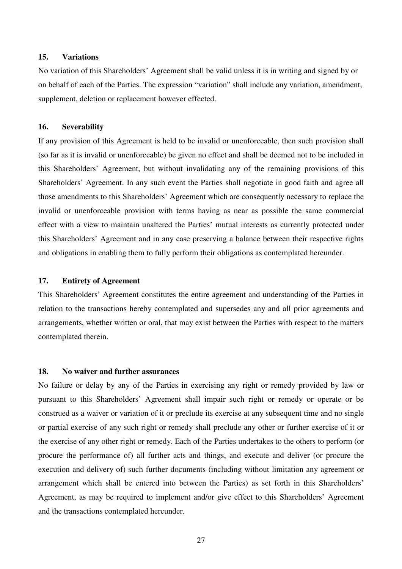# **15. Variations**

No variation of this Shareholders' Agreement shall be valid unless it is in writing and signed by or on behalf of each of the Parties. The expression "variation" shall include any variation, amendment, supplement, deletion or replacement however effected.

#### **16. Severability**

If any provision of this Agreement is held to be invalid or unenforceable, then such provision shall (so far as it is invalid or unenforceable) be given no effect and shall be deemed not to be included in this Shareholders' Agreement, but without invalidating any of the remaining provisions of this Shareholders' Agreement. In any such event the Parties shall negotiate in good faith and agree all those amendments to this Shareholders' Agreement which are consequently necessary to replace the invalid or unenforceable provision with terms having as near as possible the same commercial effect with a view to maintain unaltered the Parties' mutual interests as currently protected under this Shareholders' Agreement and in any case preserving a balance between their respective rights and obligations in enabling them to fully perform their obligations as contemplated hereunder.

# **17. Entirety of Agreement**

This Shareholders' Agreement constitutes the entire agreement and understanding of the Parties in relation to the transactions hereby contemplated and supersedes any and all prior agreements and arrangements, whether written or oral, that may exist between the Parties with respect to the matters contemplated therein.

# **18. No waiver and further assurances**

No failure or delay by any of the Parties in exercising any right or remedy provided by law or pursuant to this Shareholders' Agreement shall impair such right or remedy or operate or be construed as a waiver or variation of it or preclude its exercise at any subsequent time and no single or partial exercise of any such right or remedy shall preclude any other or further exercise of it or the exercise of any other right or remedy. Each of the Parties undertakes to the others to perform (or procure the performance of) all further acts and things, and execute and deliver (or procure the execution and delivery of) such further documents (including without limitation any agreement or arrangement which shall be entered into between the Parties) as set forth in this Shareholders' Agreement, as may be required to implement and/or give effect to this Shareholders' Agreement and the transactions contemplated hereunder.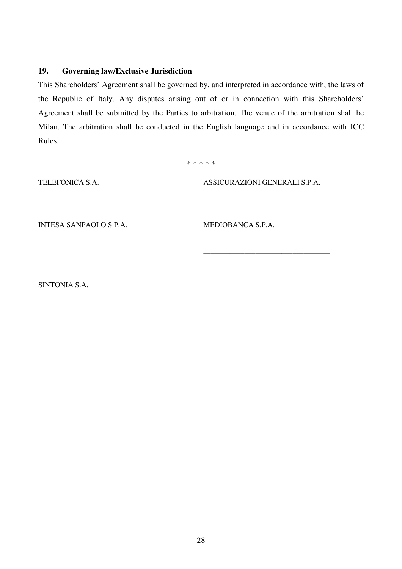# **19. Governing law/Exclusive Jurisdiction**

This Shareholders' Agreement shall be governed by, and interpreted in accordance with, the laws of the Republic of Italy. Any disputes arising out of or in connection with this Shareholders' Agreement shall be submitted by the Parties to arbitration. The venue of the arbitration shall be Milan. The arbitration shall be conducted in the English language and in accordance with ICC Rules.

\* \* \* \* \*

TELEFONICA S.A.

ASSICURAZIONI GENERALI S.P.A.

\_\_\_\_\_\_\_\_\_\_\_\_\_\_\_\_\_\_\_\_\_\_\_\_\_\_\_\_\_\_\_\_\_\_

\_\_\_\_\_\_\_\_\_\_\_\_\_\_\_\_\_\_\_\_\_\_\_\_\_\_\_\_\_\_\_\_\_\_

INTESA SANPAOLO S.P.A.

\_\_\_\_\_\_\_\_\_\_\_\_\_\_\_\_\_\_\_\_\_\_\_\_\_\_\_\_\_\_\_\_\_\_

\_\_\_\_\_\_\_\_\_\_\_\_\_\_\_\_\_\_\_\_\_\_\_\_\_\_\_\_\_\_\_\_\_\_

\_\_\_\_\_\_\_\_\_\_\_\_\_\_\_\_\_\_\_\_\_\_\_\_\_\_\_\_\_\_\_\_\_\_

MEDIOBANCA S.P.A.

SINTONIA S.A.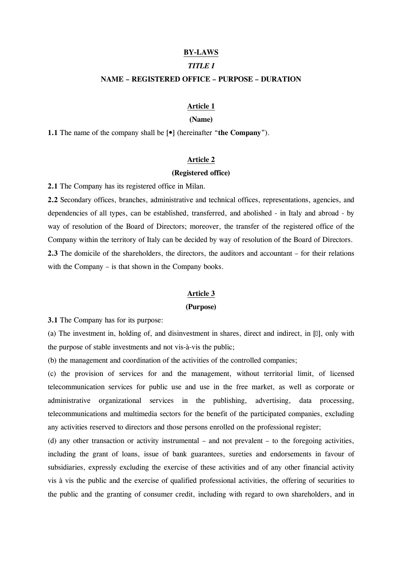#### BY-LAWS

#### TITLE I

#### NAME – REGISTERED OFFICE – PURPOSE – DURATION

#### Article 1

#### (Name)

1.1 The name of the company shall be  $\lceil \bullet \rceil$  (hereinafter "the Company").

# Article 2

#### (Registered office)

2.1 The Company has its registered office in Milan.

2.2 Secondary offices, branches, administrative and technical offices, representations, agencies, and dependencies of all types, can be established, transferred, and abolished - in Italy and abroad - by way of resolution of the Board of Directors; moreover, the transfer of the registered office of the Company within the territory of Italy can be decided by way of resolution of the Board of Directors. 2.3 The domicile of the shareholders, the directors, the auditors and accountant – for their relations with the Company – is that shown in the Company books.

#### Article 3

#### (Purpose)

3.1 The Company has for its purpose:

(a) The investment in, holding of, and disinvestment in shares, direct and indirect, in  $[0]$ , only with the purpose of stable investments and not vis-à-vis the public;

(b) the management and coordination of the activities of the controlled companies;

(c) the provision of services for and the management, without territorial limit, of licensed telecommunication services for public use and use in the free market, as well as corporate or administrative organizational services in the publishing, advertising, data processing, telecommunications and multimedia sectors for the benefit of the participated companies, excluding any activities reserved to directors and those persons enrolled on the professional register;

(d) any other transaction or activity instrumental – and not prevalent – to the foregoing activities, including the grant of loans, issue of bank guarantees, sureties and endorsements in favour of subsidiaries, expressly excluding the exercise of these activities and of any other financial activity vis à vis the public and the exercise of qualified professional activities, the offering of securities to the public and the granting of consumer credit, including with regard to own shareholders, and in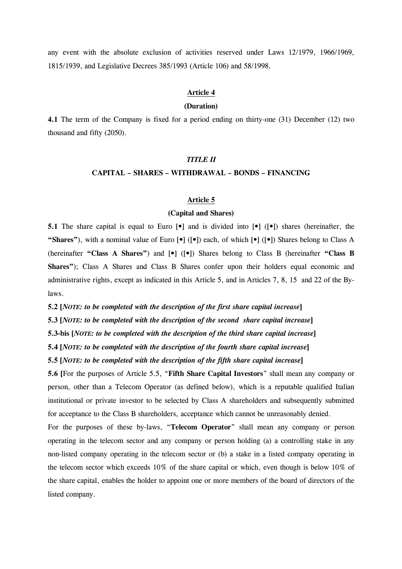any event with the absolute exclusion of activities reserved under Laws 12/1979, 1966/1969, 1815/1939, and Legislative Decrees 385/1993 (Article 106) and 58/1998.

#### Article 4

#### (Duration)

4.1 The term of the Company is fixed for a period ending on thirty-one (31) December (12) two thousand and fifty (2050).

# TITLE II

#### CAPITAL – SHARES – WITHDRAWAL – BONDS – FINANCING

# Article 5

#### (Capital and Shares)

5.1 The share capital is equal to Euro  $\lceil \cdot \cdot \rceil$  and is divided into  $\lceil \cdot \cdot \rceil$  ( $\lceil \cdot \cdot \rceil$ ) shares (hereinafter, the "Shares"), with a nominal value of Euro  $\lceil \bullet \rceil$  ( $\lceil \bullet \rceil$ ) each, of which  $\lceil \bullet \rceil$  ( $\lceil \bullet \rceil$ ) Shares belong to Class A (hereinafter "Class A Shares") and  $[\bullet]$  ( $[\bullet]$ ) Shares belong to Class B (hereinafter "Class B Shares"); Class A Shares and Class B Shares confer upon their holders equal economic and administrative rights, except as indicated in this Article 5, and in Articles 7, 8, 15 and 22 of the Bylaws.

5.2 [NOTE: to be completed with the description of the first share capital increase]

5.3 [NOTE: to be completed with the description of the second share capital increase]

5.3-bis [NOTE: to be completed with the description of the third share capital increase]

5.4 [NOTE: to be completed with the description of the fourth share capital increase]

5.5 [NOTE: to be completed with the description of the fifth share capital increase]

5.6 [For the purposes of Article 5.5, "Fifth Share Capital Investors" shall mean any company or person, other than a Telecom Operator (as defined below), which is a reputable qualified Italian institutional or private investor to be selected by Class A shareholders and subsequently submitted for acceptance to the Class B shareholders, acceptance which cannot be unreasonably denied.

For the purposes of these by-laws, "Telecom Operator" shall mean any company or person operating in the telecom sector and any company or person holding (a) a controlling stake in any non-listed company operating in the telecom sector or (b) a stake in a listed company operating in the telecom sector which exceeds 10% of the share capital or which, even though is below 10% of the share capital, enables the holder to appoint one or more members of the board of directors of the listed company.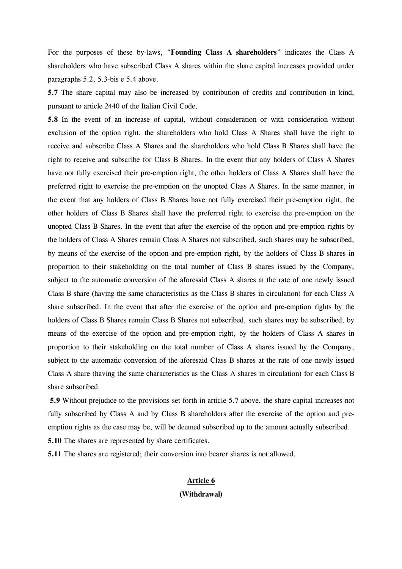For the purposes of these by-laws, "Founding Class A shareholders" indicates the Class A shareholders who have subscribed Class A shares within the share capital increases provided under paragraphs 5.2, 5.3-bis e 5.4 above.

5.7 The share capital may also be increased by contribution of credits and contribution in kind, pursuant to article 2440 of the Italian Civil Code.

5.8 In the event of an increase of capital, without consideration or with consideration without exclusion of the option right, the shareholders who hold Class A Shares shall have the right to receive and subscribe Class A Shares and the shareholders who hold Class B Shares shall have the right to receive and subscribe for Class B Shares. In the event that any holders of Class A Shares have not fully exercised their pre-emption right, the other holders of Class A Shares shall have the preferred right to exercise the pre-emption on the unopted Class A Shares. In the same manner, in the event that any holders of Class B Shares have not fully exercised their pre-emption right, the other holders of Class B Shares shall have the preferred right to exercise the pre-emption on the unopted Class B Shares. In the event that after the exercise of the option and pre-emption rights by the holders of Class A Shares remain Class A Shares not subscribed, such shares may be subscribed, by means of the exercise of the option and pre-emption right, by the holders of Class B shares in proportion to their stakeholding on the total number of Class B shares issued by the Company, subject to the automatic conversion of the aforesaid Class A shares at the rate of one newly issued Class B share (having the same characteristics as the Class B shares in circulation) for each Class A share subscribed. In the event that after the exercise of the option and pre-emption rights by the holders of Class B Shares remain Class B Shares not subscribed, such shares may be subscribed, by means of the exercise of the option and pre-emption right, by the holders of Class A shares in proportion to their stakeholding on the total number of Class A shares issued by the Company, subject to the automatic conversion of the aforesaid Class B shares at the rate of one newly issued Class A share (having the same characteristics as the Class A shares in circulation) for each Class B share subscribed.

5.9 Without prejudice to the provisions set forth in article 5.7 above, the share capital increases not fully subscribed by Class A and by Class B shareholders after the exercise of the option and preemption rights as the case may be, will be deemed subscribed up to the amount actually subscribed. 5.10 The shares are represented by share certificates.

5.11 The shares are registered; their conversion into bearer shares is not allowed.

# Article 6 (Withdrawal)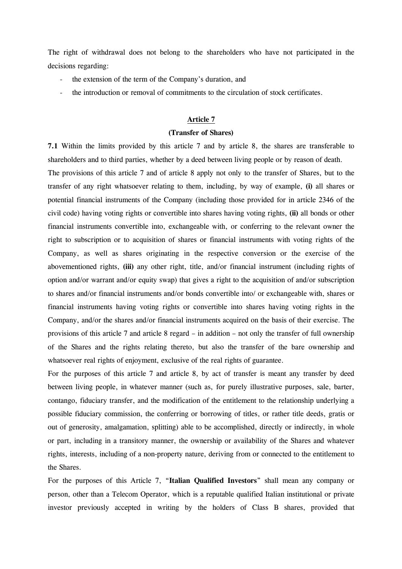The right of withdrawal does not belong to the shareholders who have not participated in the decisions regarding:

- the extension of the term of the Company's duration, and
- the introduction or removal of commitments to the circulation of stock certificates.

# Article 7

#### (Transfer of Shares)

7.1 Within the limits provided by this article 7 and by article 8, the shares are transferable to shareholders and to third parties, whether by a deed between living people or by reason of death.

The provisions of this article 7 and of article 8 apply not only to the transfer of Shares, but to the transfer of any right whatsoever relating to them, including, by way of example, (i) all shares or potential financial instruments of the Company (including those provided for in article 2346 of the civil code) having voting rights or convertible into shares having voting rights, (ii) all bonds or other financial instruments convertible into, exchangeable with, or conferring to the relevant owner the right to subscription or to acquisition of shares or financial instruments with voting rights of the Company, as well as shares originating in the respective conversion or the exercise of the abovementioned rights, (iii) any other right, title, and/or financial instrument (including rights of option and/or warrant and/or equity swap) that gives a right to the acquisition of and/or subscription to shares and/or financial instruments and/or bonds convertible into/ or exchangeable with, shares or financial instruments having voting rights or convertible into shares having voting rights in the Company, and/or the shares and/or financial instruments acquired on the basis of their exercise. The provisions of this article 7 and article 8 regard – in addition – not only the transfer of full ownership of the Shares and the rights relating thereto, but also the transfer of the bare ownership and whatsoever real rights of enjoyment, exclusive of the real rights of guarantee.

For the purposes of this article 7 and article 8, by act of transfer is meant any transfer by deed between living people, in whatever manner (such as, for purely illustrative purposes, sale, barter, contango, fiduciary transfer, and the modification of the entitlement to the relationship underlying a possible fiduciary commission, the conferring or borrowing of titles, or rather title deeds, gratis or out of generosity, amalgamation, splitting) able to be accomplished, directly or indirectly, in whole or part, including in a transitory manner, the ownership or availability of the Shares and whatever rights, interests, including of a non-property nature, deriving from or connected to the entitlement to the Shares.

For the purposes of this Article 7, "Italian Qualified Investors" shall mean any company or person, other than a Telecom Operator, which is a reputable qualified Italian institutional or private investor previously accepted in writing by the holders of Class B shares, provided that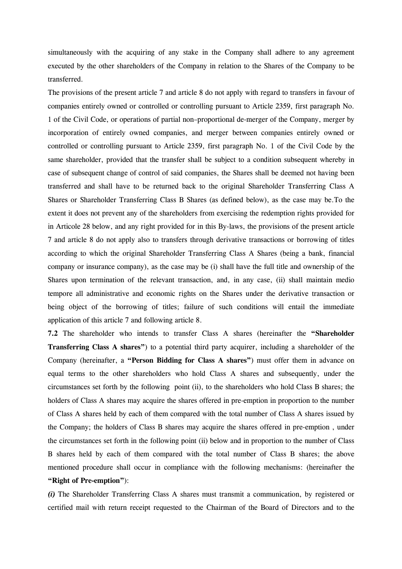simultaneously with the acquiring of any stake in the Company shall adhere to any agreement executed by the other shareholders of the Company in relation to the Shares of the Company to be transferred.

The provisions of the present article 7 and article 8 do not apply with regard to transfers in favour of companies entirely owned or controlled or controlling pursuant to Article 2359, first paragraph No. 1 of the Civil Code, or operations of partial non–proportional de-merger of the Company, merger by incorporation of entirely owned companies, and merger between companies entirely owned or controlled or controlling pursuant to Article 2359, first paragraph No. 1 of the Civil Code by the same shareholder, provided that the transfer shall be subject to a condition subsequent whereby in case of subsequent change of control of said companies, the Shares shall be deemed not having been transferred and shall have to be returned back to the original Shareholder Transferring Class A Shares or Shareholder Transferring Class B Shares (as defined below), as the case may be.To the extent it does not prevent any of the shareholders from exercising the redemption rights provided for in Articole 28 below, and any right provided for in this By-laws, the provisions of the present article 7 and article 8 do not apply also to transfers through derivative transactions or borrowing of titles according to which the original Shareholder Transferring Class A Shares (being a bank, financial company or insurance company), as the case may be (i) shall have the full title and ownership of the Shares upon termination of the relevant transaction, and, in any case, (ii) shall maintain medio tempore all administrative and economic rights on the Shares under the derivative transaction or being object of the borrowing of titles; failure of such conditions will entail the immediate application of this article 7 and following article 8.

7.2 The shareholder who intends to transfer Class A shares (hereinafter the "Shareholder Transferring Class A shares") to a potential third party acquirer, including a shareholder of the Company (hereinafter, a "Person Bidding for Class A shares") must offer them in advance on equal terms to the other shareholders who hold Class A shares and subsequently, under the circumstances set forth by the following point (ii), to the shareholders who hold Class B shares; the holders of Class A shares may acquire the shares offered in pre-emption in proportion to the number of Class A shares held by each of them compared with the total number of Class A shares issued by the Company; the holders of Class B shares may acquire the shares offered in pre-emption , under the circumstances set forth in the following point (ii) below and in proportion to the number of Class B shares held by each of them compared with the total number of Class B shares; the above mentioned procedure shall occur in compliance with the following mechanisms: (hereinafter the "Right of Pre-emption"):

(i) The Shareholder Transferring Class A shares must transmit a communication, by registered or certified mail with return receipt requested to the Chairman of the Board of Directors and to the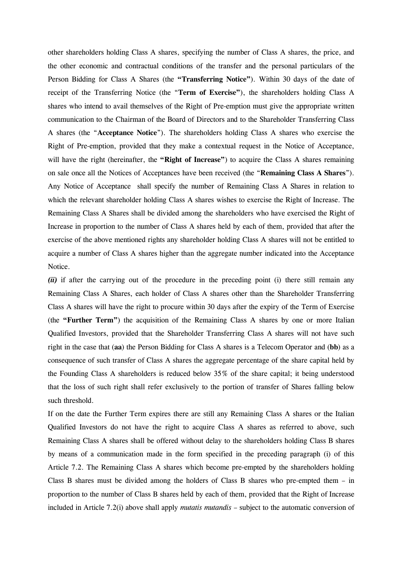other shareholders holding Class A shares, specifying the number of Class A shares, the price, and the other economic and contractual conditions of the transfer and the personal particulars of the Person Bidding for Class A Shares (the "Transferring Notice"). Within 30 days of the date of receipt of the Transferring Notice (the "Term of Exercise"), the shareholders holding Class A shares who intend to avail themselves of the Right of Pre-emption must give the appropriate written communication to the Chairman of the Board of Directors and to the Shareholder Transferring Class A shares (the "Acceptance Notice"). The shareholders holding Class A shares who exercise the Right of Pre-emption, provided that they make a contextual request in the Notice of Acceptance, will have the right (hereinafter, the "Right of Increase") to acquire the Class A shares remaining on sale once all the Notices of Acceptances have been received (the "Remaining Class A Shares"). Any Notice of Acceptance shall specify the number of Remaining Class A Shares in relation to which the relevant shareholder holding Class A shares wishes to exercise the Right of Increase. The Remaining Class A Shares shall be divided among the shareholders who have exercised the Right of Increase in proportion to the number of Class A shares held by each of them, provided that after the exercise of the above mentioned rights any shareholder holding Class A shares will not be entitled to acquire a number of Class A shares higher than the aggregate number indicated into the Acceptance Notice.

(ii) if after the carrying out of the procedure in the preceding point (i) there still remain any Remaining Class A Shares, each holder of Class A shares other than the Shareholder Transferring Class A shares will have the right to procure within 30 days after the expiry of the Term of Exercise (the "Further Term") the acquisition of the Remaining Class A shares by one or more Italian Qualified Investors, provided that the Shareholder Transferring Class A shares will not have such right in the case that (aa) the Person Bidding for Class A shares is a Telecom Operator and (bb) as a consequence of such transfer of Class A shares the aggregate percentage of the share capital held by the Founding Class A shareholders is reduced below 35% of the share capital; it being understood that the loss of such right shall refer exclusively to the portion of transfer of Shares falling below such threshold.

If on the date the Further Term expires there are still any Remaining Class A shares or the Italian Qualified Investors do not have the right to acquire Class A shares as referred to above, such Remaining Class A shares shall be offered without delay to the shareholders holding Class B shares by means of a communication made in the form specified in the preceding paragraph (i) of this Article 7.2. The Remaining Class A shares which become pre-empted by the shareholders holding Class B shares must be divided among the holders of Class B shares who pre-empted them – in proportion to the number of Class B shares held by each of them, provided that the Right of Increase included in Article 7.2(i) above shall apply mutatis mutandis – subject to the automatic conversion of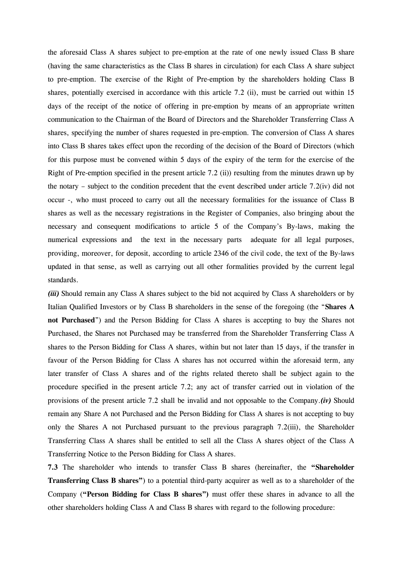the aforesaid Class A shares subject to pre-emption at the rate of one newly issued Class B share (having the same characteristics as the Class B shares in circulation) for each Class A share subject to pre-emption. The exercise of the Right of Pre-emption by the shareholders holding Class B shares, potentially exercised in accordance with this article 7.2 (ii), must be carried out within 15 days of the receipt of the notice of offering in pre-emption by means of an appropriate written communication to the Chairman of the Board of Directors and the Shareholder Transferring Class A shares, specifying the number of shares requested in pre-emption. The conversion of Class A shares into Class B shares takes effect upon the recording of the decision of the Board of Directors (which for this purpose must be convened within 5 days of the expiry of the term for the exercise of the Right of Pre-emption specified in the present article 7.2 (ii)) resulting from the minutes drawn up by the notary – subject to the condition precedent that the event described under article 7.2(iv) did not occur -, who must proceed to carry out all the necessary formalities for the issuance of Class B shares as well as the necessary registrations in the Register of Companies, also bringing about the necessary and consequent modifications to article 5 of the Company's By-laws, making the numerical expressions and the text in the necessary parts adequate for all legal purposes, providing, moreover, for deposit, according to article 2346 of the civil code, the text of the By-laws updated in that sense, as well as carrying out all other formalities provided by the current legal standards.

(iii) Should remain any Class A shares subject to the bid not acquired by Class A shareholders or by Italian Qualified Investors or by Class B shareholders in the sense of the foregoing (the "Shares A not Purchased") and the Person Bidding for Class A shares is accepting to buy the Shares not Purchased, the Shares not Purchased may be transferred from the Shareholder Transferring Class A shares to the Person Bidding for Class A shares, within but not later than 15 days, if the transfer in favour of the Person Bidding for Class A shares has not occurred within the aforesaid term, any later transfer of Class A shares and of the rights related thereto shall be subject again to the procedure specified in the present article 7.2; any act of transfer carried out in violation of the provisions of the present article 7.2 shall be invalid and not opposable to the Company.(iv) Should remain any Share A not Purchased and the Person Bidding for Class A shares is not accepting to buy only the Shares A not Purchased pursuant to the previous paragraph 7.2(iii), the Shareholder Transferring Class A shares shall be entitled to sell all the Class A shares object of the Class A Transferring Notice to the Person Bidding for Class A shares.

7.3 The shareholder who intends to transfer Class B shares (hereinafter, the "Shareholder Transferring Class B shares") to a potential third-party acquirer as well as to a shareholder of the Company ("Person Bidding for Class B shares") must offer these shares in advance to all the other shareholders holding Class A and Class B shares with regard to the following procedure: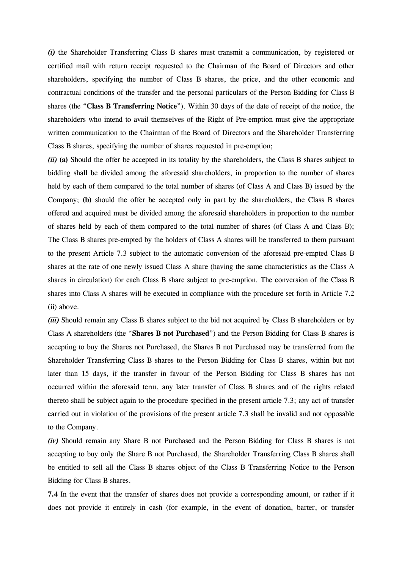(i) the Shareholder Transferring Class B shares must transmit a communication, by registered or certified mail with return receipt requested to the Chairman of the Board of Directors and other shareholders, specifying the number of Class B shares, the price, and the other economic and contractual conditions of the transfer and the personal particulars of the Person Bidding for Class B shares (the "Class B Transferring Notice"). Within 30 days of the date of receipt of the notice, the shareholders who intend to avail themselves of the Right of Pre-emption must give the appropriate written communication to the Chairman of the Board of Directors and the Shareholder Transferring Class B shares, specifying the number of shares requested in pre-emption;

(ii) (a) Should the offer be accepted in its totality by the shareholders, the Class B shares subject to bidding shall be divided among the aforesaid shareholders, in proportion to the number of shares held by each of them compared to the total number of shares (of Class A and Class B) issued by the Company; (b) should the offer be accepted only in part by the shareholders, the Class B shares offered and acquired must be divided among the aforesaid shareholders in proportion to the number of shares held by each of them compared to the total number of shares (of Class A and Class B); The Class B shares pre-empted by the holders of Class A shares will be transferred to them pursuant to the present Article 7.3 subject to the automatic conversion of the aforesaid pre-empted Class B shares at the rate of one newly issued Class A share (having the same characteristics as the Class A shares in circulation) for each Class B share subject to pre-emption. The conversion of the Class B shares into Class A shares will be executed in compliance with the procedure set forth in Article 7.2 (ii) above.

(iii) Should remain any Class B shares subject to the bid not acquired by Class B shareholders or by Class A shareholders (the "Shares B not Purchased") and the Person Bidding for Class B shares is accepting to buy the Shares not Purchased, the Shares B not Purchased may be transferred from the Shareholder Transferring Class B shares to the Person Bidding for Class B shares, within but not later than 15 days, if the transfer in favour of the Person Bidding for Class B shares has not occurred within the aforesaid term, any later transfer of Class B shares and of the rights related thereto shall be subject again to the procedure specified in the present article 7.3; any act of transfer carried out in violation of the provisions of the present article 7.3 shall be invalid and not opposable to the Company.

(iv) Should remain any Share B not Purchased and the Person Bidding for Class B shares is not accepting to buy only the Share B not Purchased, the Shareholder Transferring Class B shares shall be entitled to sell all the Class B shares object of the Class B Transferring Notice to the Person Bidding for Class B shares.

7.4 In the event that the transfer of shares does not provide a corresponding amount, or rather if it does not provide it entirely in cash (for example, in the event of donation, barter, or transfer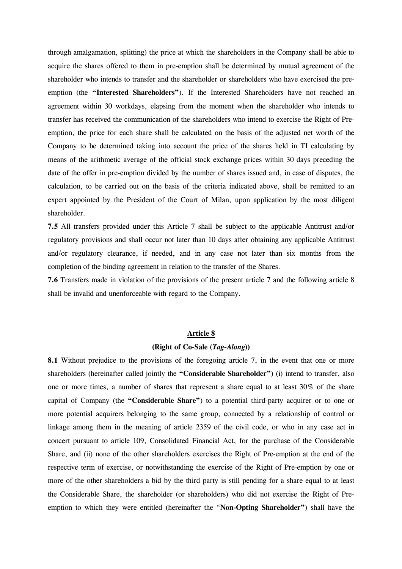through amalgamation, splitting) the price at which the shareholders in the Company shall be able to acquire the shares offered to them in pre-emption shall be determined by mutual agreement of the shareholder who intends to transfer and the shareholder or shareholders who have exercised the preemption (the "Interested Shareholders"). If the Interested Shareholders have not reached an agreement within 30 workdays, elapsing from the moment when the shareholder who intends to transfer has received the communication of the shareholders who intend to exercise the Right of Preemption, the price for each share shall be calculated on the basis of the adjusted net worth of the Company to be determined taking into account the price of the shares held in TI calculating by means of the arithmetic average of the official stock exchange prices within 30 days preceding the date of the offer in pre-emption divided by the number of shares issued and, in case of disputes, the calculation, to be carried out on the basis of the criteria indicated above, shall be remitted to an expert appointed by the President of the Court of Milan, upon application by the most diligent shareholder.

7.5 All transfers provided under this Article 7 shall be subject to the applicable Antitrust and/or regulatory provisions and shall occur not later than 10 days after obtaining any applicable Antitrust and/or regulatory clearance, if needed, and in any case not later than six months from the completion of the binding agreement in relation to the transfer of the Shares.

7.6 Transfers made in violation of the provisions of the present article 7 and the following article 8 shall be invalid and unenforceable with regard to the Company.

#### Article 8

#### (Right of Co-Sale (Tag-Along))

8.1 Without prejudice to the provisions of the foregoing article 7, in the event that one or more shareholders (hereinafter called jointly the "Considerable Shareholder") (i) intend to transfer, also one or more times, a number of shares that represent a share equal to at least 30% of the share capital of Company (the "Considerable Share") to a potential third-party acquirer or to one or more potential acquirers belonging to the same group, connected by a relationship of control or linkage among them in the meaning of article 2359 of the civil code, or who in any case act in concert pursuant to article 109, Consolidated Financial Act, for the purchase of the Considerable Share, and (ii) none of the other shareholders exercises the Right of Pre-emption at the end of the respective term of exercise, or notwithstanding the exercise of the Right of Pre-emption by one or more of the other shareholders a bid by the third party is still pending for a share equal to at least the Considerable Share, the shareholder (or shareholders) who did not exercise the Right of Preemption to which they were entitled (hereinafter the "Non-Opting Shareholder") shall have the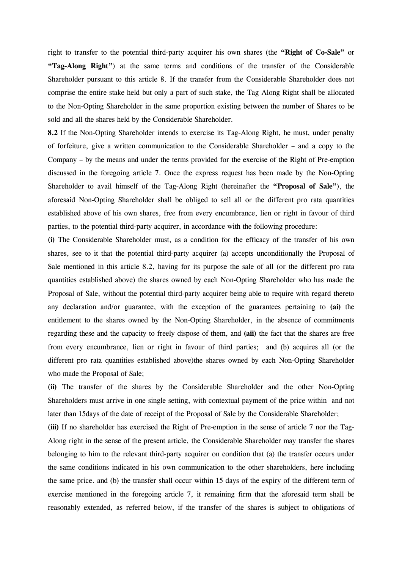right to transfer to the potential third-party acquirer his own shares (the "Right of Co-Sale" or "Tag-Along Right") at the same terms and conditions of the transfer of the Considerable Shareholder pursuant to this article 8. If the transfer from the Considerable Shareholder does not comprise the entire stake held but only a part of such stake, the Tag Along Right shall be allocated to the Non-Opting Shareholder in the same proportion existing between the number of Shares to be sold and all the shares held by the Considerable Shareholder.

8.2 If the Non-Opting Shareholder intends to exercise its Tag-Along Right, he must, under penalty of forfeiture, give a written communication to the Considerable Shareholder – and a copy to the Company – by the means and under the terms provided for the exercise of the Right of Pre-emption discussed in the foregoing article 7. Once the express request has been made by the Non-Opting Shareholder to avail himself of the Tag-Along Right (hereinafter the "Proposal of Sale"), the aforesaid Non-Opting Shareholder shall be obliged to sell all or the different pro rata quantities established above of his own shares, free from every encumbrance, lien or right in favour of third parties, to the potential third-party acquirer, in accordance with the following procedure:

(i) The Considerable Shareholder must, as a condition for the efficacy of the transfer of his own shares, see to it that the potential third-party acquirer (a) accepts unconditionally the Proposal of Sale mentioned in this article 8.2, having for its purpose the sale of all (or the different pro rata quantities established above) the shares owned by each Non-Opting Shareholder who has made the Proposal of Sale, without the potential third-party acquirer being able to require with regard thereto any declaration and/or guarantee, with the exception of the guarantees pertaining to (ai) the entitlement to the shares owned by the Non-Opting Shareholder, in the absence of commitments regarding these and the capacity to freely dispose of them, and (aii) the fact that the shares are free from every encumbrance, lien or right in favour of third parties; and (b) acquires all (or the different pro rata quantities established above)the shares owned by each Non-Opting Shareholder who made the Proposal of Sale;

(ii) The transfer of the shares by the Considerable Shareholder and the other Non-Opting Shareholders must arrive in one single setting, with contextual payment of the price within and not later than 15days of the date of receipt of the Proposal of Sale by the Considerable Shareholder;

(iii) If no shareholder has exercised the Right of Pre-emption in the sense of article 7 nor the Tag-Along right in the sense of the present article, the Considerable Shareholder may transfer the shares belonging to him to the relevant third-party acquirer on condition that (a) the transfer occurs under the same conditions indicated in his own communication to the other shareholders, here including the same price. and (b) the transfer shall occur within 15 days of the expiry of the different term of exercise mentioned in the foregoing article 7, it remaining firm that the aforesaid term shall be reasonably extended, as referred below, if the transfer of the shares is subject to obligations of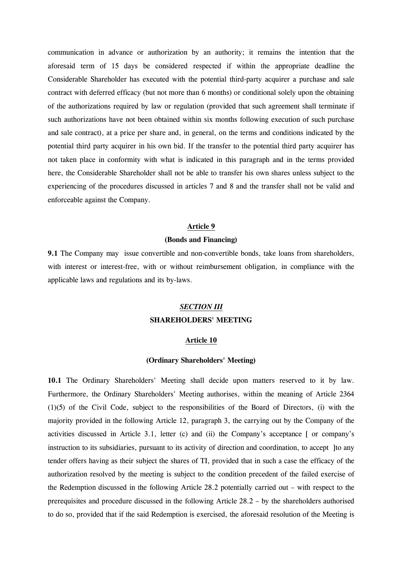communication in advance or authorization by an authority; it remains the intention that the aforesaid term of 15 days be considered respected if within the appropriate deadline the Considerable Shareholder has executed with the potential third-party acquirer a purchase and sale contract with deferred efficacy (but not more than 6 months) or conditional solely upon the obtaining of the authorizations required by law or regulation (provided that such agreement shall terminate if such authorizations have not been obtained within six months following execution of such purchase and sale contract), at a price per share and, in general, on the terms and conditions indicated by the potential third party acquirer in his own bid. If the transfer to the potential third party acquirer has not taken place in conformity with what is indicated in this paragraph and in the terms provided here, the Considerable Shareholder shall not be able to transfer his own shares unless subject to the experiencing of the procedures discussed in articles 7 and 8 and the transfer shall not be valid and enforceable against the Company.

# Article 9

#### (Bonds and Financing)

9.1 The Company may issue convertible and non-convertible bonds, take loans from shareholders, with interest or interest-free, with or without reimbursement obligation, in compliance with the applicable laws and regulations and its by-laws.

# SECTION III SHAREHOLDERS' MEETING

#### Article 10

#### (Ordinary Shareholders' Meeting)

10.1 The Ordinary Shareholders' Meeting shall decide upon matters reserved to it by law. Furthermore, the Ordinary Shareholders' Meeting authorises, within the meaning of Article 2364 (1)(5) of the Civil Code, subject to the responsibilities of the Board of Directors, (i) with the majority provided in the following Article 12, paragraph 3, the carrying out by the Company of the activities discussed in Article 3.1, letter (c) and (ii) the Company's acceptance [ or company's instruction to its subsidiaries, pursuant to its activity of direction and coordination, to accept ]to any tender offers having as their subject the shares of TI, provided that in such a case the efficacy of the authorization resolved by the meeting is subject to the condition precedent of the failed exercise of the Redemption discussed in the following Article 28.2 potentially carried out – with respect to the prerequisites and procedure discussed in the following Article 28.2 – by the shareholders authorised to do so, provided that if the said Redemption is exercised, the aforesaid resolution of the Meeting is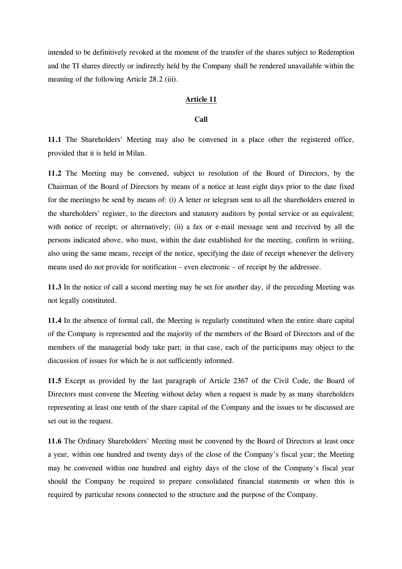intended to be definitively revoked at the moment of the transfer of the shares subject to Redemption and the TI shares directly or indirectly held by the Company shall be rendered unavailable within the meaning of the following Article 28.2 (iii).

# Article 11

#### Call

11.1 The Shareholders' Meeting may also be convened in a place other the registered office, provided that it is held in Milan.

11.2 The Meeting may be convened, subject to resolution of the Board of Directors, by the Chairman of the Board of Directors by means of a notice at least eight days prior to the date fixed for the meetingto be send by means of: (i) A letter or telegram sent to all the shareholders entered in the shareholders' register, to the directors and statutory auditors by postal service or an equivalent; with notice of receipt; or alternatively; (ii) a fax or e-mail message sent and received by all the persons indicated above, who must, within the date established for the meeting, confirm in writing, also using the same means, receipt of the notice, specifying the date of receipt whenever the delivery means used do not provide for notification – even electronic – of receipt by the addressee.

11.3 In the notice of call a second meeting may be set for another day, if the preceding Meeting was not legally constituted.

11.4 In the absence of formal call, the Meeting is regularly constituted when the entire share capital of the Company is represented and the majority of the members of the Board of Directors and of the members of the managerial body take part; in that case, each of the participants may object to the discussion of issues for which he is not sufficiently informed.

11.5 Except as provided by the last paragraph of Article 2367 of the Civil Code, the Board of Directors must convene the Meeting without delay when a request is made by as many shareholders representing at least one tenth of the share capital of the Company and the issues to be discussed are set out in the request.

11.6 The Ordinary Shareholders' Meeting must be convened by the Board of Directors at least once a year, within one hundred and twenty days of the close of the Company's fiscal year; the Meeting may be convened within one hundred and eighty days of the close of the Company's fiscal year should the Company be required to prepare consolidated financial statements or when this is required by particular resons connected to the structure and the purpose of the Company.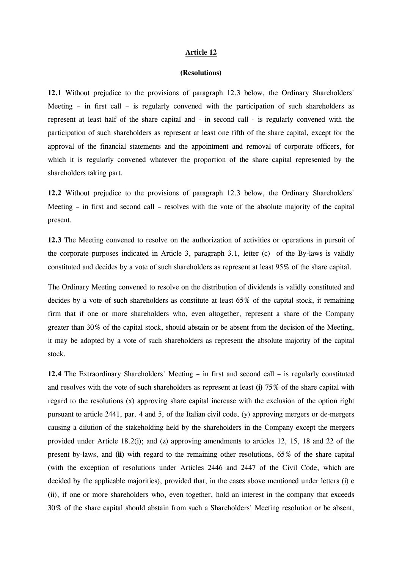#### Article 12

#### (Resolutions)

12.1 Without prejudice to the provisions of paragraph 12.3 below, the Ordinary Shareholders' Meeting – in first call – is regularly convened with the participation of such shareholders as represent at least half of the share capital and - in second call - is regularly convened with the participation of such shareholders as represent at least one fifth of the share capital, except for the approval of the financial statements and the appointment and removal of corporate officers, for which it is regularly convened whatever the proportion of the share capital represented by the shareholders taking part.

12.2 Without prejudice to the provisions of paragraph 12.3 below, the Ordinary Shareholders' Meeting – in first and second call – resolves with the vote of the absolute majority of the capital present.

12.3 The Meeting convened to resolve on the authorization of activities or operations in pursuit of the corporate purposes indicated in Article 3, paragraph 3.1, letter (c) of the By-laws is validly constituted and decides by a vote of such shareholders as represent at least 95% of the share capital.

The Ordinary Meeting convened to resolve on the distribution of dividends is validly constituted and decides by a vote of such shareholders as constitute at least 65% of the capital stock, it remaining firm that if one or more shareholders who, even altogether, represent a share of the Company greater than 30% of the capital stock, should abstain or be absent from the decision of the Meeting, it may be adopted by a vote of such shareholders as represent the absolute majority of the capital stock.

12.4 The Extraordinary Shareholders' Meeting – in first and second call – is regularly constituted and resolves with the vote of such shareholders as represent at least (i) 75% of the share capital with regard to the resolutions (x) approving share capital increase with the exclusion of the option right pursuant to article 2441, par. 4 and 5, of the Italian civil code, (y) approving mergers or de-mergers causing a dilution of the stakeholding held by the shareholders in the Company except the mergers provided under Article 18.2(i); and (z) approving amendments to articles 12, 15, 18 and 22 of the present by-laws, and (ii) with regard to the remaining other resolutions, 65% of the share capital (with the exception of resolutions under Articles 2446 and 2447 of the Civil Code, which are decided by the applicable majorities), provided that, in the cases above mentioned under letters (i) e (ii), if one or more shareholders who, even together, hold an interest in the company that exceeds 30% of the share capital should abstain from such a Shareholders' Meeting resolution or be absent,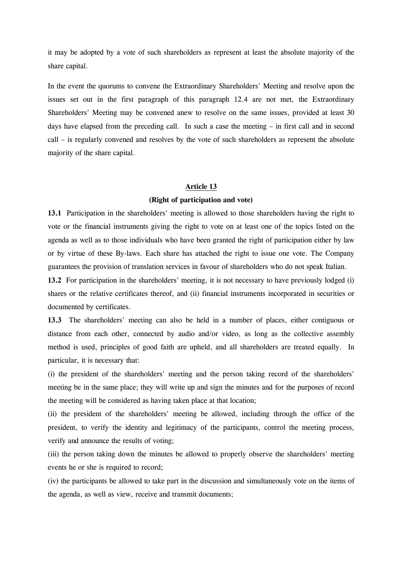it may be adopted by a vote of such shareholders as represent at least the absolute majority of the share capital.

In the event the quorums to convene the Extraordinary Shareholders' Meeting and resolve upon the issues set out in the first paragraph of this paragraph 12.4 are not met, the Extraordinary Shareholders' Meeting may be convened anew to resolve on the same issues, provided at least 30 days have elapsed from the preceding call. In such a case the meeting – in first call and in second call – is regularly convened and resolves by the vote of such shareholders as represent the absolute majority of the share capital.

#### Article 13

#### (Right of participation and vote)

13.1 Participation in the shareholders' meeting is allowed to those shareholders having the right to vote or the financial instruments giving the right to vote on at least one of the topics listed on the agenda as well as to those individuals who have been granted the right of participation either by law or by virtue of these By-laws. Each share has attached the right to issue one vote. The Company guarantees the provision of translation services in favour of shareholders who do not speak Italian.

13.2 For participation in the shareholders' meeting, it is not necessary to have previously lodged (i) shares or the relative certificates thereof, and (ii) financial instruments incorporated in securities or documented by certificates.

13.3 The shareholders' meeting can also be held in a number of places, either contiguous or distance from each other, connected by audio and/or video, as long as the collective assembly method is used, principles of good faith are upheld, and all shareholders are treated equally. In particular, it is necessary that:

(i) the president of the shareholders' meeting and the person taking record of the shareholders' meeting be in the same place; they will write up and sign the minutes and for the purposes of record the meeting will be considered as having taken place at that location;

(ii) the president of the shareholders' meeting be allowed, including through the office of the president, to verify the identity and legitimacy of the participants, control the meeting process, verify and announce the results of voting;

(iii) the person taking down the minutes be allowed to properly observe the shareholders' meeting events he or she is required to record;

(iv) the participants be allowed to take part in the discussion and simultaneously vote on the items of the agenda, as well as view, receive and transmit documents;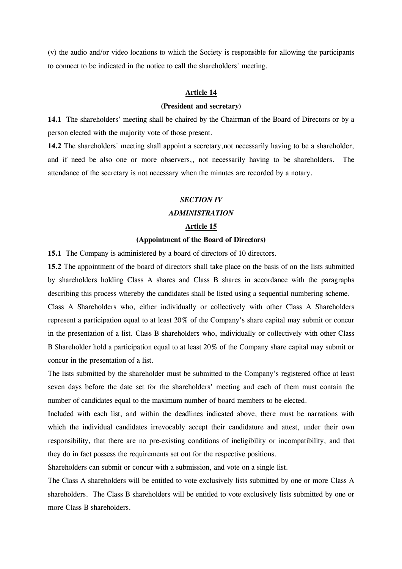(v) the audio and/or video locations to which the Society is responsible for allowing the participants to connect to be indicated in the notice to call the shareholders' meeting.

#### Article 14

# (President and secretary)

14.1 The shareholders' meeting shall be chaired by the Chairman of the Board of Directors or by a person elected with the majority vote of those present.

14.2 The shareholders' meeting shall appoint a secretary, not necessarily having to be a shareholder, and if need be also one or more observers,, not necessarily having to be shareholders. The attendance of the secretary is not necessary when the minutes are recorded by a notary.

#### SECTION IV

#### ADMINISTRATION

#### Article 15

# (Appointment of the Board of Directors)

15.1 The Company is administered by a board of directors of 10 directors.

15.2 The appointment of the board of directors shall take place on the basis of on the lists submitted by shareholders holding Class A shares and Class B shares in accordance with the paragraphs describing this process whereby the candidates shall be listed using a sequential numbering scheme.

Class A Shareholders who, either individually or collectively with other Class A Shareholders represent a participation equal to at least 20% of the Company's share capital may submit or concur in the presentation of a list. Class B shareholders who, individually or collectively with other Class B Shareholder hold a participation equal to at least 20% of the Company share capital may submit or concur in the presentation of a list.

The lists submitted by the shareholder must be submitted to the Company's registered office at least seven days before the date set for the shareholders' meeting and each of them must contain the number of candidates equal to the maximum number of board members to be elected.

Included with each list, and within the deadlines indicated above, there must be narrations with which the individual candidates irrevocably accept their candidature and attest, under their own responsibility, that there are no pre-existing conditions of ineligibility or incompatibility, and that they do in fact possess the requirements set out for the respective positions.

Shareholders can submit or concur with a submission, and vote on a single list.

The Class A shareholders will be entitled to vote exclusively lists submitted by one or more Class A shareholders. The Class B shareholders will be entitled to vote exclusively lists submitted by one or more Class B shareholders.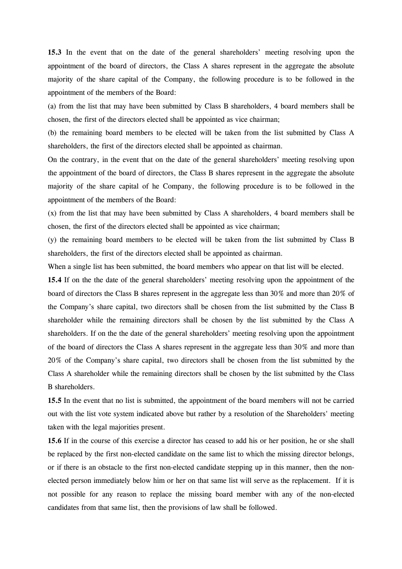15.3 In the event that on the date of the general shareholders' meeting resolving upon the appointment of the board of directors, the Class A shares represent in the aggregate the absolute majority of the share capital of the Company, the following procedure is to be followed in the appointment of the members of the Board:

(a) from the list that may have been submitted by Class B shareholders, 4 board members shall be chosen, the first of the directors elected shall be appointed as vice chairman;

(b) the remaining board members to be elected will be taken from the list submitted by Class A shareholders, the first of the directors elected shall be appointed as chairman.

On the contrary, in the event that on the date of the general shareholders' meeting resolving upon the appointment of the board of directors, the Class B shares represent in the aggregate the absolute majority of the share capital of he Company, the following procedure is to be followed in the appointment of the members of the Board:

(x) from the list that may have been submitted by Class A shareholders, 4 board members shall be chosen, the first of the directors elected shall be appointed as vice chairman;

(y) the remaining board members to be elected will be taken from the list submitted by Class B shareholders, the first of the directors elected shall be appointed as chairman.

When a single list has been submitted, the board members who appear on that list will be elected.

15.4 If on the the date of the general shareholders' meeting resolving upon the appointment of the board of directors the Class B shares represent in the aggregate less than 30% and more than 20% of the Company's share capital, two directors shall be chosen from the list submitted by the Class B shareholder while the remaining directors shall be chosen by the list submitted by the Class A shareholders. If on the the date of the general shareholders' meeting resolving upon the appointment of the board of directors the Class A shares represent in the aggregate less than 30% and more than 20% of the Company's share capital, two directors shall be chosen from the list submitted by the Class A shareholder while the remaining directors shall be chosen by the list submitted by the Class B shareholders.

15.5 In the event that no list is submitted, the appointment of the board members will not be carried out with the list vote system indicated above but rather by a resolution of the Shareholders' meeting taken with the legal majorities present.

15.6 If in the course of this exercise a director has ceased to add his or her position, he or she shall be replaced by the first non-elected candidate on the same list to which the missing director belongs, or if there is an obstacle to the first non-elected candidate stepping up in this manner, then the nonelected person immediately below him or her on that same list will serve as the replacement. If it is not possible for any reason to replace the missing board member with any of the non-elected candidates from that same list, then the provisions of law shall be followed.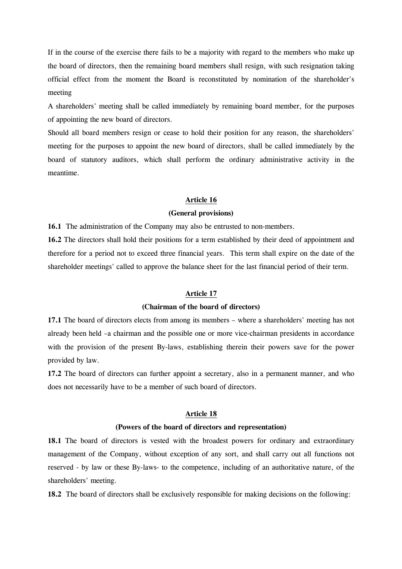If in the course of the exercise there fails to be a majority with regard to the members who make up the board of directors, then the remaining board members shall resign, with such resignation taking official effect from the moment the Board is reconstituted by nomination of the shareholder's meeting

A shareholders' meeting shall be called immediately by remaining board member, for the purposes of appointing the new board of directors.

Should all board members resign or cease to hold their position for any reason, the shareholders' meeting for the purposes to appoint the new board of directors, shall be called immediately by the board of statutory auditors, which shall perform the ordinary administrative activity in the meantime.

#### Article 16

#### (General provisions)

16.1 The administration of the Company may also be entrusted to non-members.

16.2 The directors shall hold their positions for a term established by their deed of appointment and therefore for a period not to exceed three financial years. This term shall expire on the date of the shareholder meetings' called to approve the balance sheet for the last financial period of their term.

#### Article 17

#### (Chairman of the board of directors)

17.1 The board of directors elects from among its members – where a shareholders' meeting has not already been held –a chairman and the possible one or more vice-chairman presidents in accordance with the provision of the present By-laws, establishing therein their powers save for the power provided by law.

17.2 The board of directors can further appoint a secretary, also in a permanent manner, and who does not necessarily have to be a member of such board of directors.

# Article 18

#### (Powers of the board of directors and representation)

18.1 The board of directors is vested with the broadest powers for ordinary and extraordinary management of the Company, without exception of any sort, and shall carry out all functions not reserved - by law or these By-laws- to the competence, including of an authoritative nature, of the shareholders' meeting.

18.2 The board of directors shall be exclusively responsible for making decisions on the following: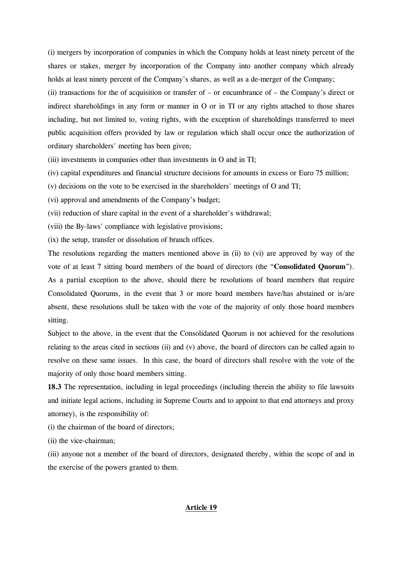(i) mergers by incorporation of companies in which the Company holds at least ninety percent of the shares or stakes, merger by incorporation of the Company into another company which already holds at least ninety percent of the Company's shares, as well as a de-merger of the Company;

(ii) transactions for the of acquisition or transfer of – or encumbrance of – the Company's direct or indirect shareholdings in any form or manner in O or in TI or any rights attached to those shares including, but not limited to, voting rights, with the exception of shareholdings transferred to meet public acquisition offers provided by law or regulation which shall occur once the authorization of ordinary shareholders' meeting has been given;

(iii) investments in companies other than investments in O and in TI;

(iv) capital expenditures and financial structure decisions for amounts in excess or Euro 75 million;

(v) decisions on the vote to be exercised in the shareholders' meetings of O and TI;

(vi) approval and amendments of the Company's budget;

(vii) reduction of share capital in the event of a shareholder's withdrawal;

(viii) the By-laws' compliance with legislative provisions;

(ix) the setup, transfer or dissolution of branch offices.

The resolutions regarding the matters mentioned above in (ii) to (vi) are approved by way of the vote of at least 7 sitting board members of the board of directors (the "Consolidated Quorum"). As a partial exception to the above, should there be resolutions of board members that require Consolidated Quorums, in the event that 3 or more board members have/has abstained or is/are absent, these resolutions shall be taken with the vote of the majority of only those board members sitting.

Subject to the above, in the event that the Consolidated Quorum is not achieved for the resolutions relating to the areas cited in sections (ii) and (v) above, the board of directors can be called again to resolve on these same issues. In this case, the board of directors shall resolve with the vote of the majority of only those board members sitting.

18.3 The representation, including in legal proceedings (including therein the ability to file lawsuits and initiate legal actions, including in Supreme Courts and to appoint to that end attorneys and proxy attorney), is the responsibility of:

(i) the chairman of the board of directors;

(ii) the vice-chairman;

(iii) anyone not a member of the board of directors, designated thereby, within the scope of and in the exercise of the powers granted to them.

#### Article 19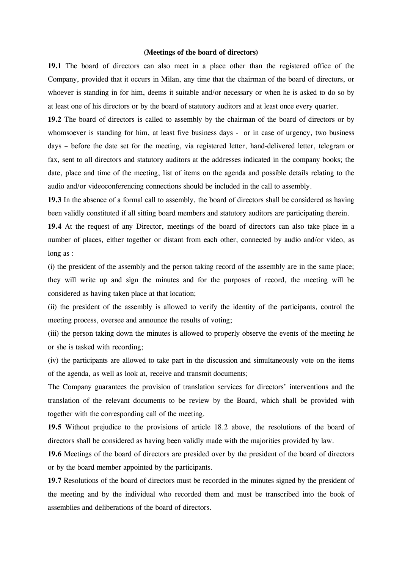#### (Meetings of the board of directors)

19.1 The board of directors can also meet in a place other than the registered office of the Company, provided that it occurs in Milan, any time that the chairman of the board of directors, or whoever is standing in for him, deems it suitable and/or necessary or when he is asked to do so by at least one of his directors or by the board of statutory auditors and at least once every quarter.

19.2 The board of directors is called to assembly by the chairman of the board of directors or by whomsoever is standing for him, at least five business days - or in case of urgency, two business days – before the date set for the meeting, via registered letter, hand-delivered letter, telegram or fax, sent to all directors and statutory auditors at the addresses indicated in the company books; the date, place and time of the meeting, list of items on the agenda and possible details relating to the audio and/or videoconferencing connections should be included in the call to assembly.

19.3 In the absence of a formal call to assembly, the board of directors shall be considered as having been validly constituted if all sitting board members and statutory auditors are participating therein.

19.4 At the request of any Director, meetings of the board of directors can also take place in a number of places, either together or distant from each other, connected by audio and/or video, as long as :

(i) the president of the assembly and the person taking record of the assembly are in the same place; they will write up and sign the minutes and for the purposes of record, the meeting will be considered as having taken place at that location;

(ii) the president of the assembly is allowed to verify the identity of the participants, control the meeting process, oversee and announce the results of voting;

(iii) the person taking down the minutes is allowed to properly observe the events of the meeting he or she is tasked with recording;

(iv) the participants are allowed to take part in the discussion and simultaneously vote on the items of the agenda, as well as look at, receive and transmit documents;

The Company guarantees the provision of translation services for directors' interventions and the translation of the relevant documents to be review by the Board, which shall be provided with together with the corresponding call of the meeting.

19.5 Without prejudice to the provisions of article 18.2 above, the resolutions of the board of directors shall be considered as having been validly made with the majorities provided by law.

19.6 Meetings of the board of directors are presided over by the president of the board of directors or by the board member appointed by the participants.

19.7 Resolutions of the board of directors must be recorded in the minutes signed by the president of the meeting and by the individual who recorded them and must be transcribed into the book of assemblies and deliberations of the board of directors.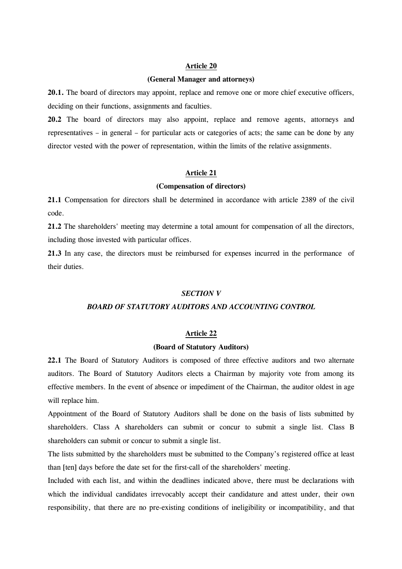#### Article 20

#### (General Manager and attorneys)

20.1. The board of directors may appoint, replace and remove one or more chief executive officers, deciding on their functions, assignments and faculties.

20.2 The board of directors may also appoint, replace and remove agents, attorneys and representatives – in general – for particular acts or categories of acts; the same can be done by any director vested with the power of representation, within the limits of the relative assignments.

#### Article 21

#### (Compensation of directors)

21.1 Compensation for directors shall be determined in accordance with article 2389 of the civil code.

21.2 The shareholders' meeting may determine a total amount for compensation of all the directors, including those invested with particular offices.

21.3 In any case, the directors must be reimbursed for expenses incurred in the performance of their duties.

#### SECTION V

# BOARD OF STATUTORY AUDITORS AND ACCOUNTING CONTROL

#### Article 22

#### (Board of Statutory Auditors)

22.1 The Board of Statutory Auditors is composed of three effective auditors and two alternate auditors. The Board of Statutory Auditors elects a Chairman by majority vote from among its effective members. In the event of absence or impediment of the Chairman, the auditor oldest in age will replace him.

Appointment of the Board of Statutory Auditors shall be done on the basis of lists submitted by shareholders. Class A shareholders can submit or concur to submit a single list. Class B shareholders can submit or concur to submit a single list.

The lists submitted by the shareholders must be submitted to the Company's registered office at least than [ten] days before the date set for the first-call of the shareholders' meeting.

Included with each list, and within the deadlines indicated above, there must be declarations with which the individual candidates irrevocably accept their candidature and attest under, their own responsibility, that there are no pre-existing conditions of ineligibility or incompatibility, and that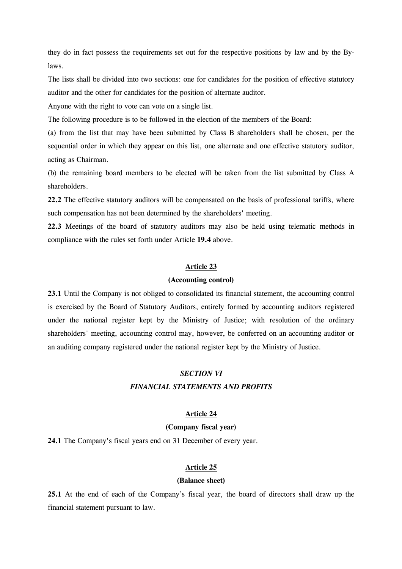they do in fact possess the requirements set out for the respective positions by law and by the Bylaws.

The lists shall be divided into two sections: one for candidates for the position of effective statutory auditor and the other for candidates for the position of alternate auditor.

Anyone with the right to vote can vote on a single list.

The following procedure is to be followed in the election of the members of the Board:

(a) from the list that may have been submitted by Class B shareholders shall be chosen, per the sequential order in which they appear on this list, one alternate and one effective statutory auditor, acting as Chairman.

(b) the remaining board members to be elected will be taken from the list submitted by Class A shareholders.

22.2 The effective statutory auditors will be compensated on the basis of professional tariffs, where such compensation has not been determined by the shareholders' meeting.

22.3 Meetings of the board of statutory auditors may also be held using telematic methods in compliance with the rules set forth under Article 19.4 above.

#### Article 23

#### (Accounting control)

23.1 Until the Company is not obliged to consolidated its financial statement, the accounting control is exercised by the Board of Statutory Auditors, entirely formed by accounting auditors registered under the national register kept by the Ministry of Justice; with resolution of the ordinary shareholders' meeting, accounting control may, however, be conferred on an accounting auditor or an auditing company registered under the national register kept by the Ministry of Justice.

#### SECTION VI

#### FINANCIAL STATEMENTS AND PROFITS

# Article 24

# (Company fiscal year)

24.1 The Company's fiscal years end on 31 December of every year.

#### Article 25

#### (Balance sheet)

25.1 At the end of each of the Company's fiscal year, the board of directors shall draw up the financial statement pursuant to law.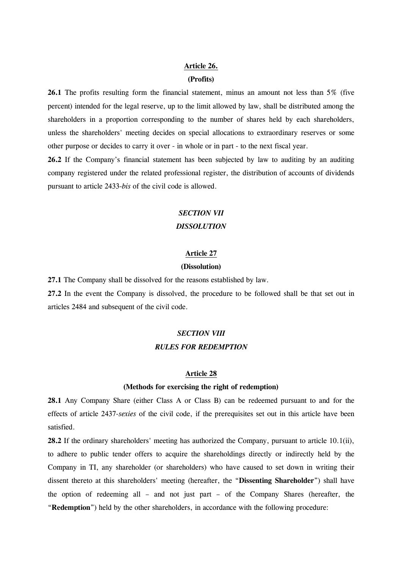# Article 26.

# (Profits)

26.1 The profits resulting form the financial statement, minus an amount not less than 5% (five percent) intended for the legal reserve, up to the limit allowed by law, shall be distributed among the shareholders in a proportion corresponding to the number of shares held by each shareholders, unless the shareholders' meeting decides on special allocations to extraordinary reserves or some other purpose or decides to carry it over - in whole or in part - to the next fiscal year.

26.2 If the Company's financial statement has been subjected by law to auditing by an auditing company registered under the related professional register, the distribution of accounts of dividends pursuant to article 2433-bis of the civil code is allowed.

# SECTION VII **DISSOLUTION**

# Article 27

#### (Dissolution)

27.1 The Company shall be dissolved for the reasons established by law.

27.2 In the event the Company is dissolved, the procedure to be followed shall be that set out in articles 2484 and subsequent of the civil code.

# SECTION VIII RULES FOR REDEMPTION

#### Article 28

#### (Methods for exercising the right of redemption)

28.1 Any Company Share (either Class A or Class B) can be redeemed pursuant to and for the effects of article 2437-sexies of the civil code, if the prerequisites set out in this article have been satisfied.

28.2 If the ordinary shareholders' meeting has authorized the Company, pursuant to article 10.1(ii), to adhere to public tender offers to acquire the shareholdings directly or indirectly held by the Company in TI, any shareholder (or shareholders) who have caused to set down in writing their dissent thereto at this shareholders' meeting (hereafter, the "Dissenting Shareholder") shall have the option of redeeming all – and not just part – of the Company Shares (hereafter, the "Redemption") held by the other shareholders, in accordance with the following procedure: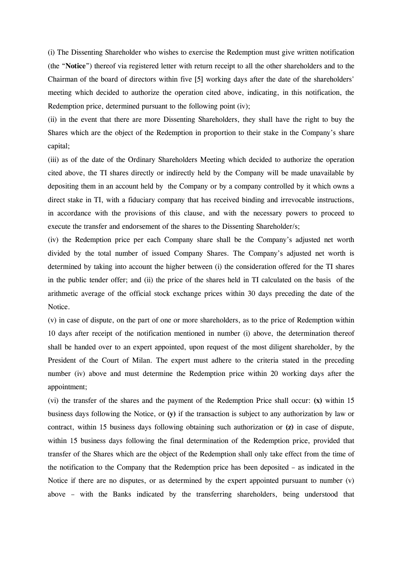(i) The Dissenting Shareholder who wishes to exercise the Redemption must give written notification (the "Notice") thereof via registered letter with return receipt to all the other shareholders and to the Chairman of the board of directors within five [5] working days after the date of the shareholders' meeting which decided to authorize the operation cited above, indicating, in this notification, the Redemption price, determined pursuant to the following point (iv);

(ii) in the event that there are more Dissenting Shareholders, they shall have the right to buy the Shares which are the object of the Redemption in proportion to their stake in the Company's share capital;

(iii) as of the date of the Ordinary Shareholders Meeting which decided to authorize the operation cited above, the TI shares directly or indirectly held by the Company will be made unavailable by depositing them in an account held by the Company or by a company controlled by it which owns a direct stake in TI, with a fiduciary company that has received binding and irrevocable instructions, in accordance with the provisions of this clause, and with the necessary powers to proceed to execute the transfer and endorsement of the shares to the Dissenting Shareholder/s;

(iv) the Redemption price per each Company share shall be the Company's adjusted net worth divided by the total number of issued Company Shares. The Company's adjusted net worth is determined by taking into account the higher between (i) the consideration offered for the TI shares in the public tender offer; and (ii) the price of the shares held in TI calculated on the basis of the arithmetic average of the official stock exchange prices within 30 days preceding the date of the Notice.

(v) in case of dispute, on the part of one or more shareholders, as to the price of Redemption within 10 days after receipt of the notification mentioned in number (i) above, the determination thereof shall be handed over to an expert appointed, upon request of the most diligent shareholder, by the President of the Court of Milan. The expert must adhere to the criteria stated in the preceding number (iv) above and must determine the Redemption price within 20 working days after the appointment;

(vi) the transfer of the shares and the payment of the Redemption Price shall occur: (x) within 15 business days following the Notice, or (y) if the transaction is subject to any authorization by law or contract, within 15 business days following obtaining such authorization or (z) in case of dispute, within 15 business days following the final determination of the Redemption price, provided that transfer of the Shares which are the object of the Redemption shall only take effect from the time of the notification to the Company that the Redemption price has been deposited – as indicated in the Notice if there are no disputes, or as determined by the expert appointed pursuant to number  $(v)$ above – with the Banks indicated by the transferring shareholders, being understood that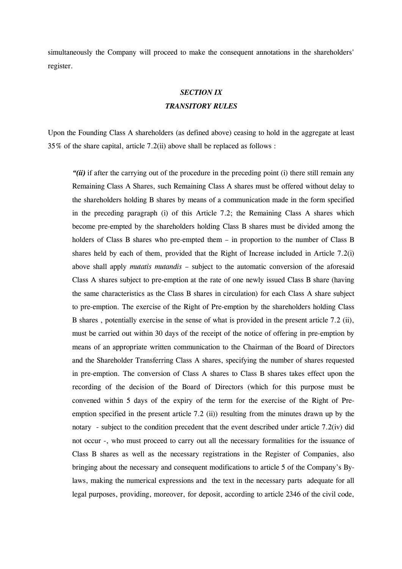simultaneously the Company will proceed to make the consequent annotations in the shareholders' register.

# SECTION IX TRANSITORY RULES

Upon the Founding Class A shareholders (as defined above) ceasing to hold in the aggregate at least 35% of the share capital, article 7.2(ii) above shall be replaced as follows :

" $(ii)$  if after the carrying out of the procedure in the preceding point (i) there still remain any Remaining Class A Shares, such Remaining Class A shares must be offered without delay to the shareholders holding B shares by means of a communication made in the form specified in the preceding paragraph (i) of this Article 7.2; the Remaining Class A shares which become pre-empted by the shareholders holding Class B shares must be divided among the holders of Class B shares who pre-empted them – in proportion to the number of Class B shares held by each of them, provided that the Right of Increase included in Article 7.2(i) above shall apply mutatis mutandis – subject to the automatic conversion of the aforesaid Class A shares subject to pre-emption at the rate of one newly issued Class B share (having the same characteristics as the Class B shares in circulation) for each Class A share subject to pre-emption. The exercise of the Right of Pre-emption by the shareholders holding Class B shares , potentially exercise in the sense of what is provided in the present article 7.2 (ii), must be carried out within 30 days of the receipt of the notice of offering in pre-emption by means of an appropriate written communication to the Chairman of the Board of Directors and the Shareholder Transferring Class A shares, specifying the number of shares requested in pre-emption. The conversion of Class A shares to Class B shares takes effect upon the recording of the decision of the Board of Directors (which for this purpose must be convened within 5 days of the expiry of the term for the exercise of the Right of Preemption specified in the present article 7.2 (ii)) resulting from the minutes drawn up by the notary - subject to the condition precedent that the event described under article 7.2(iv) did not occur -, who must proceed to carry out all the necessary formalities for the issuance of Class B shares as well as the necessary registrations in the Register of Companies, also bringing about the necessary and consequent modifications to article 5 of the Company's Bylaws, making the numerical expressions and the text in the necessary parts adequate for all legal purposes, providing, moreover, for deposit, according to article 2346 of the civil code,